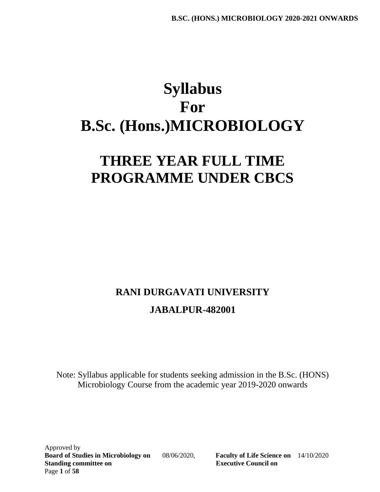# **Syllabus For B.Sc. (Hons.)MICROBIOLOGY**

# **THREE YEAR FULL TIME PROGRAMME UNDER CBCS**

# **RANI DURGAVATI UNIVERSITY JABALPUR-482001**

Note: Syllabus applicable for students seeking admission in the B.Sc. (HONS) Microbiology Course from the academic year 2019-2020 onwards

Approved by **Board of Studies in Microbiology on** 08/06/2020, **Faculty of Life Science on** 14/10/2020 **Standing committee on Executive Council on** Page **1** of **58**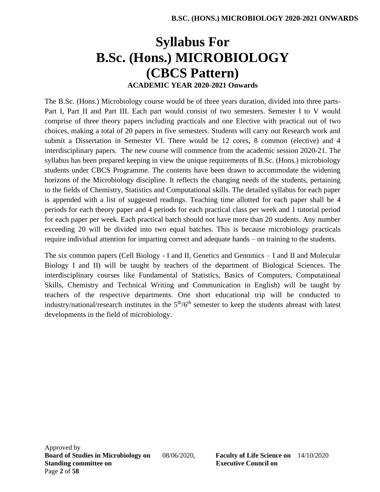# **Syllabus For B.Sc. (Hons.) MICROBIOLOGY (CBCS Pattern) ACADEMIC YEAR 2020-2021 Onwards**

The B.Sc. (Hons.) Microbiology course would be of three years duration, divided into three parts-Part I, Part II and Part III. Each part would consist of two semesters. Semester I to V would comprise of three theory papers including practicals and one Elective with practical out of two choices, making a total of 20 papers in five semesters. Students will carry out Research work and submit a Dissertation in Semester VI. There would be 12 cores, 8 common (elective) and 4 interdisciplinary papers. The new course will commence from the academic session 2020-21. The syllabus has been prepared keeping in view the unique requirements of B.Sc. (Hons.) microbiology students under CBCS Programme. The contents have been drawn to accommodate the widening horizons of the Microbiology discipline. It reflects the changing needs of the students, pertaining to the fields of Chemistry, Statistics and Computational skills. The detailed syllabus for each paper is appended with a list of suggested readings. Teaching time allotted for each paper shall be 4 periods for each theory paper and 4 periods for each practical class per week and 1 tutorial period for each paper per week. Each practical batch should not have more than 20 students. Any number exceeding 20 will be divided into two equal batches. This is because microbiology practicals require individual attention for imparting correct and adequate hands – on training to the students.

The six common papers (Cell Biology - I and II, Genetics and Genomics – I and II and Molecular Biology I and II) will be taught by teachers of the department of Biological Sciences. The interdisciplinary courses like Fundamental of Statistics, Basics of Computers, Computational Skills, Chemistry and Technical Writing and Communication in English) will be taught by teachers of the respective departments. One short educational trip will be conducted to industry/national/research institutes in the  $5<sup>th</sup>/6<sup>th</sup>$  semester to keep the students abreast with latest developments in the field of microbiology.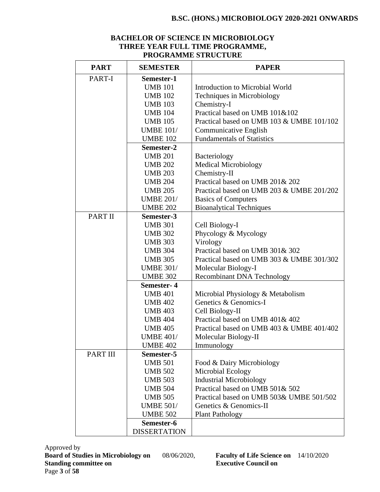#### **BACHELOR OF SCIENCE IN MICROBIOLOGY THREE YEAR FULL TIME PROGRAMME, PROGRAMME STRUCTURE**

| <b>PART</b>     | <b>SEMESTER</b>     | <b>PAPER</b>                              |
|-----------------|---------------------|-------------------------------------------|
| PART-I          | Semester-1          |                                           |
|                 | <b>UMB 101</b>      | Introduction to Microbial World           |
|                 | <b>UMB 102</b>      | Techniques in Microbiology                |
|                 | <b>UMB 103</b>      | Chemistry-I                               |
|                 | <b>UMB 104</b>      | Practical based on UMB 101&102            |
|                 | <b>UMB 105</b>      | Practical based on UMB 103 & UMBE 101/102 |
|                 | <b>UMBE 101/</b>    | <b>Communicative English</b>              |
|                 | <b>UMBE 102</b>     | <b>Fundamentals of Statistics</b>         |
|                 | Semester-2          |                                           |
|                 | <b>UMB 201</b>      | Bacteriology                              |
|                 | <b>UMB 202</b>      | <b>Medical Microbiology</b>               |
|                 | <b>UMB 203</b>      | Chemistry-II                              |
|                 | <b>UMB 204</b>      | Practical based on UMB 201& 202           |
|                 | <b>UMB 205</b>      | Practical based on UMB 203 & UMBE 201/202 |
|                 | <b>UMBE 201/</b>    | <b>Basics of Computers</b>                |
|                 | <b>UMBE 202</b>     | <b>Bioanalytical Techniques</b>           |
| <b>PART II</b>  | Semester-3          |                                           |
|                 | <b>UMB 301</b>      | Cell Biology-I                            |
|                 | <b>UMB 302</b>      | Phycology & Mycology                      |
|                 | <b>UMB 303</b>      | Virology                                  |
|                 | <b>UMB 304</b>      | Practical based on UMB 301& 302           |
|                 | <b>UMB 305</b>      | Practical based on UMB 303 & UMBE 301/302 |
|                 | <b>UMBE 301/</b>    | Molecular Biology-I                       |
|                 | <b>UMBE 302</b>     | <b>Recombinant DNA Technology</b>         |
|                 | Semester-4          |                                           |
|                 | <b>UMB 401</b>      | Microbial Physiology & Metabolism         |
|                 | <b>UMB 402</b>      | Genetics & Genomics-I                     |
|                 | <b>UMB 403</b>      | Cell Biology-II                           |
|                 | <b>UMB 404</b>      | Practical based on UMB 401& 402           |
|                 | <b>UMB 405</b>      | Practical based on UMB 403 & UMBE 401/402 |
|                 | <b>UMBE 401/</b>    | Molecular Biology-II                      |
|                 | <b>UMBE 402</b>     | Immunology                                |
| <b>PART III</b> | Semester-5          |                                           |
|                 | <b>UMB 501</b>      | Food & Dairy Microbiology                 |
|                 | <b>UMB 502</b>      | Microbial Ecology                         |
|                 | <b>UMB 503</b>      | <b>Industrial Microbiology</b>            |
|                 | <b>UMB 504</b>      | Practical based on UMB 501& 502           |
|                 | <b>UMB 505</b>      | Practical based on UMB 503& UMBE 501/502  |
|                 | <b>UMBE 501/</b>    | Genetics & Genomics-II                    |
|                 | <b>UMBE 502</b>     | <b>Plant Pathology</b>                    |
|                 | Semester-6          |                                           |
|                 | <b>DISSERTATION</b> |                                           |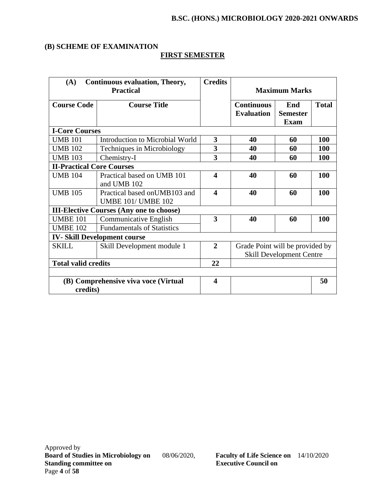#### **(B) SCHEME OF EXAMINATION**

# **FIRST SEMESTER**

| (A)                              | <b>Continuous evaluation, Theory,</b><br><b>Practical</b>  | <b>Credits</b>          |                                        | <b>Maximum Marks</b>                  |              |
|----------------------------------|------------------------------------------------------------|-------------------------|----------------------------------------|---------------------------------------|--------------|
| <b>Course Code</b>               | <b>Course Title</b>                                        |                         | <b>Continuous</b><br><b>Evaluation</b> | End<br><b>Semester</b><br><b>Exam</b> | <b>Total</b> |
| <b>I-Core Courses</b>            |                                                            |                         |                                        |                                       |              |
| <b>UMB 101</b>                   | Introduction to Microbial World                            | 3                       | 40                                     | 60                                    | <b>100</b>   |
| <b>UMB 102</b>                   | Techniques in Microbiology                                 | 3                       | 40                                     | 60                                    | 100          |
| <b>UMB 103</b>                   | Chemistry-I                                                | 3                       | 40                                     | 60                                    | 100          |
| <b>II-Practical Core Courses</b> |                                                            |                         |                                        |                                       |              |
| <b>UMB 104</b>                   | Practical based on UMB 101<br>and UMB 102                  | 4                       | 40                                     | 60                                    | 100          |
| <b>UMB 105</b>                   | Practical based on UMB103 and<br><b>UMBE 101/ UMBE 102</b> | $\overline{\mathbf{4}}$ | 40                                     | 60                                    | <b>100</b>   |
|                                  | <b>III-Elective Courses (Any one to choose)</b>            |                         |                                        |                                       |              |
| <b>UMBE 101</b>                  | Communicative English                                      | 3                       | 40                                     | 60                                    | 100          |
| <b>UMBE 102</b>                  | <b>Fundamentals of Statistics</b>                          |                         |                                        |                                       |              |
|                                  | <b>IV-Skill Development course</b>                         |                         |                                        |                                       |              |
| <b>SKILL</b>                     | Skill Development module 1                                 | $\overline{2}$          | Grade Point will be provided by        | <b>Skill Development Centre</b>       |              |
| <b>Total valid credits</b>       |                                                            | 22                      |                                        |                                       |              |
|                                  |                                                            |                         |                                        |                                       |              |
| credits)                         | (B) Comprehensive viva voce (Virtual                       | $\overline{\mathbf{4}}$ |                                        |                                       | 50           |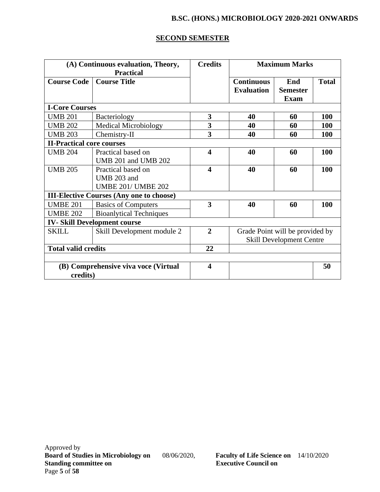#### **SECOND SEMESTER**

|                                  | (A) Continuous evaluation, Theory,              | <b>Credits</b>          |                   | <b>Maximum Marks</b>            |              |
|----------------------------------|-------------------------------------------------|-------------------------|-------------------|---------------------------------|--------------|
|                                  | <b>Practical</b>                                |                         |                   |                                 |              |
| <b>Course Code</b>               | <b>Course Title</b>                             |                         | <b>Continuous</b> | End                             | <b>Total</b> |
|                                  |                                                 |                         | <b>Evaluation</b> | <b>Semester</b>                 |              |
|                                  |                                                 |                         |                   | <b>Exam</b>                     |              |
| <b>I-Core Courses</b>            |                                                 |                         |                   |                                 |              |
| <b>UMB 201</b>                   | Bacteriology                                    | 3                       | 40                | 60                              | 100          |
| <b>UMB 202</b>                   | <b>Medical Microbiology</b>                     | 3                       | 40                | 60                              | <b>100</b>   |
| <b>UMB 203</b>                   | Chemistry-II                                    | 3                       | 40                | 60                              | 100          |
| <b>II-Practical core courses</b> |                                                 |                         |                   |                                 |              |
| <b>UMB 204</b>                   | Practical based on                              | $\overline{\mathbf{4}}$ | 40                | 60                              | <b>100</b>   |
|                                  | UMB 201 and UMB 202                             |                         |                   |                                 |              |
| <b>UMB 205</b>                   | Practical based on                              | $\overline{\mathbf{4}}$ | 40                | 60                              | <b>100</b>   |
|                                  | UMB 203 and                                     |                         |                   |                                 |              |
|                                  | <b>UMBE 201/ UMBE 202</b>                       |                         |                   |                                 |              |
|                                  | <b>III-Elective Courses (Any one to choose)</b> |                         |                   |                                 |              |
| <b>UMBE 201</b>                  | <b>Basics of Computers</b>                      | $\overline{\mathbf{3}}$ | 40                | 60                              | 100          |
| <b>UMBE 202</b>                  | <b>Bioanlytical Techniques</b>                  |                         |                   |                                 |              |
|                                  | <b>IV-Skill Development course</b>              |                         |                   |                                 |              |
| <b>SKILL</b>                     | Skill Development module 2                      | $\overline{2}$          |                   | Grade Point will be provided by |              |
|                                  |                                                 |                         |                   | <b>Skill Development Centre</b> |              |
| <b>Total valid credits</b>       |                                                 | 22                      |                   |                                 |              |
|                                  |                                                 |                         |                   |                                 |              |
|                                  | (B) Comprehensive viva voce (Virtual            | $\overline{\mathbf{4}}$ |                   |                                 | 50           |
| credits)                         |                                                 |                         |                   |                                 |              |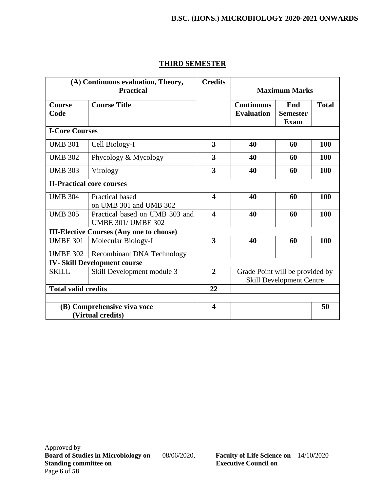|                                  | (A) Continuous evaluation, Theory,<br><b>Practical</b>      | <b>Credits</b>          |                                        | <b>Maximum Marks</b>                  |              |
|----------------------------------|-------------------------------------------------------------|-------------------------|----------------------------------------|---------------------------------------|--------------|
| Course<br>Code                   | <b>Course Title</b>                                         |                         | <b>Continuous</b><br><b>Evaluation</b> | End<br><b>Semester</b><br><b>Exam</b> | <b>Total</b> |
| <b>I-Core Courses</b>            |                                                             |                         |                                        |                                       |              |
| <b>UMB 301</b>                   | Cell Biology-I                                              | $\overline{\mathbf{3}}$ | 40                                     | 60                                    | 100          |
| <b>UMB 302</b>                   | Phycology & Mycology                                        | 3                       | 40                                     | 60                                    | 100          |
| <b>UMB 303</b>                   | Virology                                                    | 3                       | 40                                     | 60                                    | 100          |
| <b>II-Practical core courses</b> |                                                             |                         |                                        |                                       |              |
| <b>UMB 304</b>                   | <b>Practical based</b><br>on UMB 301 and UMB 302            | $\boldsymbol{\Delta}$   | 40                                     | 60                                    | <b>100</b>   |
| <b>UMB 305</b>                   | Practical based on UMB 303 and<br><b>UMBE 301/ UMBE 302</b> | $\overline{\mathbf{4}}$ | 40                                     | 60                                    | 100          |
|                                  | <b>III-Elective Courses (Any one to choose)</b>             |                         |                                        |                                       |              |
| <b>UMBE 301</b>                  | Molecular Biology-I                                         | 3                       | 40                                     | 60                                    | 100          |
| <b>UMBE 302</b>                  | <b>Recombinant DNA Technology</b>                           |                         |                                        |                                       |              |
|                                  | <b>IV-Skill Development course</b>                          |                         |                                        |                                       |              |
| <b>SKILL</b>                     | Skill Development module 3                                  | $\overline{2}$          | Grade Point will be provided by        | <b>Skill Development Centre</b>       |              |
| <b>Total valid credits</b>       |                                                             | 22                      |                                        |                                       |              |
|                                  |                                                             |                         |                                        |                                       |              |
|                                  | (B) Comprehensive viva voce<br>(Virtual credits)            | $\overline{\mathbf{4}}$ |                                        |                                       | 50           |

# **THIRD SEMESTER**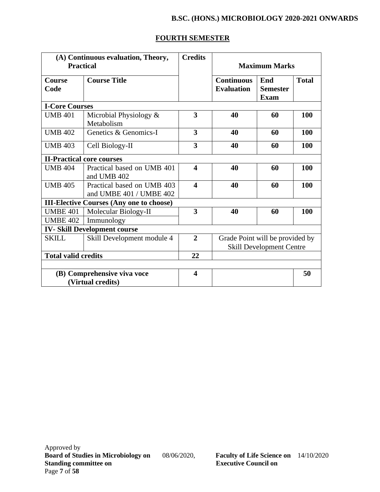### **FOURTH SEMESTER**

| <b>Practical</b>           | (A) Continuous evaluation, Theory,              | <b>Credits</b>          |                                 | <b>Maximum Marks</b>            |              |
|----------------------------|-------------------------------------------------|-------------------------|---------------------------------|---------------------------------|--------------|
|                            |                                                 |                         |                                 |                                 |              |
| <b>Course</b>              | <b>Course Title</b>                             |                         | <b>Continuous</b>               | End                             | <b>Total</b> |
| Code                       |                                                 |                         | <b>Evaluation</b>               | <b>Semester</b>                 |              |
|                            |                                                 |                         |                                 | <b>Exam</b>                     |              |
| <b>I-Core Courses</b>      |                                                 |                         |                                 |                                 |              |
| <b>UMB 401</b>             | Microbial Physiology &<br>Metabolism            | $\overline{\mathbf{3}}$ | 40                              | 60                              | <b>100</b>   |
| <b>UMB 402</b>             | Genetics & Genomics-I                           | 3                       | 40                              | 60                              | 100          |
| <b>UMB 403</b>             | Cell Biology-II                                 | 3                       | 40                              | 60                              | 100          |
|                            | <b>II-Practical core courses</b>                |                         |                                 |                                 |              |
| <b>UMB 404</b>             | Practical based on UMB 401                      | $\overline{\mathbf{4}}$ | 40                              | 60                              | 100          |
|                            | and UMB 402                                     |                         |                                 |                                 |              |
| <b>UMB 405</b>             | Practical based on UMB 403                      | $\overline{\mathbf{4}}$ | 40                              | 60                              | 100          |
|                            | and UMBE 401 / UMBE 402                         |                         |                                 |                                 |              |
|                            | <b>III-Elective Courses (Any one to choose)</b> |                         |                                 |                                 |              |
| <b>UMBE 401</b>            | Molecular Biology-II                            | 3                       | 40                              | 60                              | 100          |
| <b>UMBE 402</b>            | Immunology                                      |                         |                                 |                                 |              |
|                            | <b>IV-Skill Development course</b>              |                         |                                 |                                 |              |
| <b>SKILL</b>               | Skill Development module 4                      | $\overline{2}$          | Grade Point will be provided by |                                 |              |
|                            |                                                 |                         |                                 | <b>Skill Development Centre</b> |              |
| <b>Total valid credits</b> |                                                 | 22                      |                                 |                                 |              |
|                            |                                                 |                         |                                 |                                 |              |
|                            | (B) Comprehensive viva voce                     | $\overline{\mathbf{4}}$ |                                 |                                 | 50           |
|                            | (Virtual credits)                               |                         |                                 |                                 |              |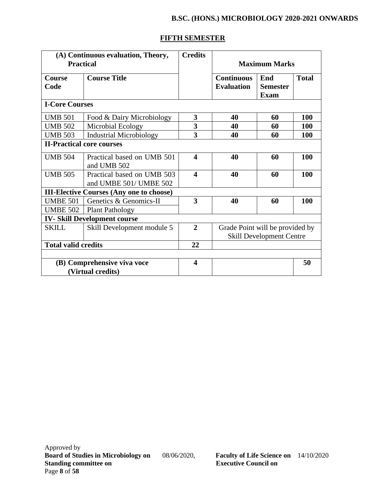# **FIFTH SEMESTER**

| <b>Practical</b>           | (A) Continuous evaluation, Theory,                   | <b>Credits</b>          |                                        | <b>Maximum Marks</b>                  |              |
|----------------------------|------------------------------------------------------|-------------------------|----------------------------------------|---------------------------------------|--------------|
| <b>Course</b><br>Code      | <b>Course Title</b>                                  |                         | <b>Continuous</b><br><b>Evaluation</b> | End<br><b>Semester</b><br><b>Exam</b> | <b>Total</b> |
| <b>I-Core Courses</b>      |                                                      |                         |                                        |                                       |              |
| <b>UMB 501</b>             | Food & Dairy Microbiology                            | 3                       | 40                                     | 60                                    | 100          |
| <b>UMB 502</b>             | Microbial Ecology                                    | $\overline{\mathbf{3}}$ | 40                                     | 60                                    | <b>100</b>   |
| <b>UMB 503</b>             | <b>Industrial Microbiology</b>                       | $\overline{\mathbf{3}}$ | 40                                     | 60                                    | 100          |
|                            | <b>II-Practical core courses</b>                     |                         |                                        |                                       |              |
| <b>UMB 504</b>             | Practical based on UMB 501<br>and UMB 502            | $\overline{\mathbf{4}}$ | 40                                     | 60                                    | 100          |
| <b>UMB 505</b>             | Practical based on UMB 503<br>and UMBE 501/ UMBE 502 | $\overline{\mathbf{4}}$ | 40                                     | 60                                    | 100          |
|                            | <b>III-Elective Courses (Any one to choose)</b>      |                         |                                        |                                       |              |
| <b>UMBE 501</b>            | Genetics & Genomics-II                               | 3                       | 40                                     | 60                                    | 100          |
| <b>UMBE 502</b>            | <b>Plant Pathology</b>                               |                         |                                        |                                       |              |
|                            | <b>IV-Skill Development course</b>                   |                         |                                        |                                       |              |
| <b>SKILL</b>               | Skill Development module 5                           | $\overline{2}$          | Grade Point will be provided by        | <b>Skill Development Centre</b>       |              |
| <b>Total valid credits</b> |                                                      | 22                      |                                        |                                       |              |
|                            |                                                      |                         |                                        |                                       |              |
|                            | (B) Comprehensive viva voce<br>(Virtual credits)     | $\overline{\mathbf{4}}$ |                                        |                                       | 50           |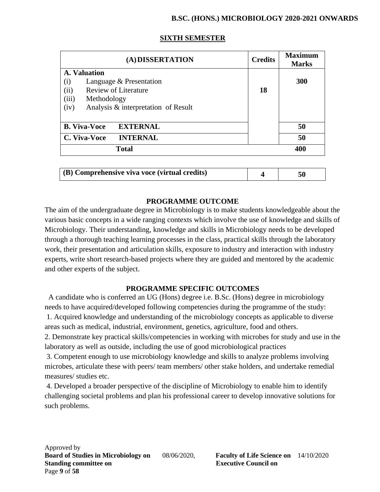| (A) DISSERTATION                                                                                                                                             | <b>Credits</b> | <b>Maximum</b><br><b>Marks</b> |
|--------------------------------------------------------------------------------------------------------------------------------------------------------------|----------------|--------------------------------|
| A. Valuation<br>(i)<br>Language & Presentation<br><b>Review of Literature</b><br>(ii)<br>(iii)<br>Methodology<br>Analysis & interpretation of Result<br>(iv) | 18             | 300                            |
| <b>B. Viva-Voce</b><br><b>EXTERNAL</b>                                                                                                                       |                | 50                             |
| <b>INTERNAL</b><br>C. Viva-Voce                                                                                                                              |                | 50                             |
| <b>Total</b>                                                                                                                                                 |                | 400                            |

#### **SIXTH SEMESTER**

| $\mid$ (B) Comprehensive viva voce (virtual credits) |  |  |
|------------------------------------------------------|--|--|
|------------------------------------------------------|--|--|

#### **PROGRAMME OUTCOME**

The aim of the undergraduate degree in Microbiology is to make students knowledgeable about the various basic concepts in a wide ranging contexts which involve the use of knowledge and skills of Microbiology. Their understanding, knowledge and skills in Microbiology needs to be developed through a thorough teaching learning processes in the class, practical skills through the laboratory work, their presentation and articulation skills, exposure to industry and interaction with industry experts, write short research-based projects where they are guided and mentored by the academic and other experts of the subject.

#### **PROGRAMME SPECIFIC OUTCOMES**

 A candidate who is conferred an UG (Hons) degree i.e. B.Sc. (Hons) degree in microbiology needs to have acquired/developed following competencies during the programme of the study: 1. Acquired knowledge and understanding of the microbiology concepts as applicable to diverse areas such as medical, industrial, environment, genetics, agriculture, food and others.

2. Demonstrate key practical skills/competencies in working with microbes for study and use in the laboratory as well as outside, including the use of good microbiological practices

3. Competent enough to use microbiology knowledge and skills to analyze problems involving microbes, articulate these with peers/ team members/ other stake holders, and undertake remedial measures/ studies etc.

4. Developed a broader perspective of the discipline of Microbiology to enable him to identify challenging societal problems and plan his professional career to develop innovative solutions for such problems.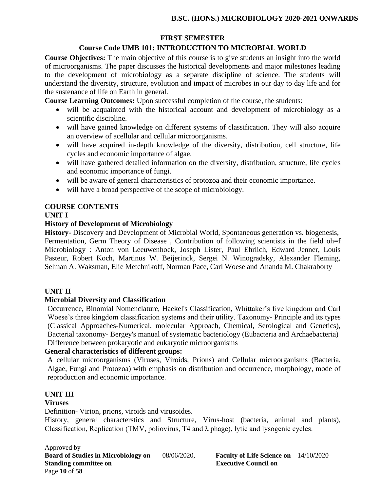# **FIRST SEMESTER**

#### **Course Code UMB 101: INTRODUCTION TO MICROBIAL WORLD**

**Course Objectives:** The main objective of this course is to give students an insight into the world of microorganisms. The paper discusses the historical developments and major milestones leading to the development of microbiology as a separate discipline of science. The students will understand the diversity, structure, evolution and impact of microbes in our day to day life and for the sustenance of life on Earth in general.

**Course Learning Outcomes:** Upon successful completion of the course, the students:

- will be acquainted with the historical account and development of microbiology as a scientific discipline.
- will have gained knowledge on different systems of classification. They will also acquire an overview of acellular and cellular microorganisms.
- will have acquired in-depth knowledge of the diversity, distribution, cell structure, life cycles and economic importance of algae.
- will have gathered detailed information on the diversity, distribution, structure, life cycles and economic importance of fungi.
- will be aware of general characteristics of protozoa and their economic importance.
- will have a broad perspective of the scope of microbiology.

# **COURSE CONTENTS**

#### **UNIT I**

#### **History of Development of Microbiology**

**History-** Discovery and Development of Microbial World, Spontaneous generation vs. biogenesis, Fermentation, Germ Theory of Disease, Contribution of following scientists in the field oh=f Microbiology : Anton von Leeuwenhoek, Joseph Lister, Paul Ehrlich, Edward Jenner, Louis Pasteur, Robert Koch, Martinus W. Beijerinck, Sergei N. Winogradsky, Alexander Fleming, Selman A. Waksman, Elie Metchnikoff, Norman Pace, Carl Woese and Ananda M. Chakraborty

#### **UNIT II**

#### **Microbial Diversity and Classification**

Occurrence, Binomial Nomenclature, Haekel's Classification, Whittaker's five kingdom and Carl Woese's three kingdom classification systems and their utility. Taxonomy- Principle and its types (Classical Approaches-Numerical, molecular Approach, Chemical, Serological and Genetics), Bacterial taxonomy- Bergey's manual of systematic bacteriology (Eubacteria and Archaebacteria) Difference between prokaryotic and eukaryotic microorganisms

#### **General characteristics of different groups:**

A cellular microorganisms (Viruses, Viroids, Prions) and Cellular microorganisms (Bacteria, Algae, Fungi and Protozoa) with emphasis on distribution and occurrence, morphology, mode of reproduction and economic importance.

#### **UNIT III**

#### **Viruses**

Definition- Virion, prions, viroids and virusoides.

History, general characterstics and Structure, Virus-host (bacteria, animal and plants), Classification, Replication (TMV, poliovirus, T4 and λ phage), lytic and lysogenic cycles.

Approved by **Board of Studies in Microbiology on** 08/06/2020, **Faculty of Life Science on** 14/10/2020 **Standing committee on Executive Council on American** Executive Council on Page **10** of **58**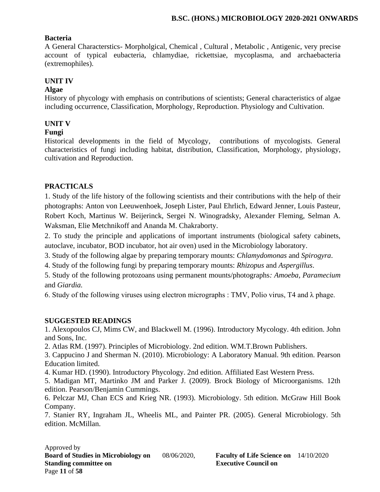#### **Bacteria**

A General Characterstics- Morpholgical, Chemical , Cultural , Metabolic , Antigenic, very precise account of typical eubacteria, chlamydiae, rickettsiae, mycoplasma, and archaebacteria (extremophiles).

# **UNIT IV**

#### **Algae**

History of phycology with emphasis on contributions of scientists; General characteristics of algae including occurrence, Classification, Morphology, Reproduction. Physiology and Cultivation.

# **UNIT V**

#### **Fungi**

Historical developments in the field of Mycology, contributions of mycologists. General characteristics of fungi including habitat, distribution, Classification, Morphology, physiology, cultivation and Reproduction.

#### **PRACTICALS**

1. Study of the life history of the following scientists and their contributions with the help of their photographs: Anton von Leeuwenhoek, Joseph Lister, Paul Ehrlich, Edward Jenner, Louis Pasteur, Robert Koch, Martinus W. Beijerinck, Sergei N. Winogradsky, Alexander Fleming, Selman A. Waksman, Elie Metchnikoff and Ananda M. Chakraborty.

2. To study the principle and applications of important instruments (biological safety cabinets, autoclave, incubator, BOD incubator, hot air oven) used in the Microbiology laboratory.

3. Study of the following algae by preparing temporary mounts: *Chlamydomonas* and *Spirogyra*.

4. Study of the following fungi by preparing temporary mounts: *Rhizopus* and *Aspergillus*.

5. Study of the following protozoans using permanent mounts/photographs*: Amoeba, Paramecium*  and *Giardia.*

6. Study of the following viruses using electron micrographs : TMV, Polio virus, T4 and  $\lambda$  phage.

#### **SUGGESTED READINGS**

1. Alexopoulos CJ, Mims CW, and Blackwell M. (1996). Introductory Mycology. 4th edition. John and Sons, Inc.

2. Atlas RM. (1997). Principles of Microbiology. 2nd edition. WM.T.Brown Publishers.

3. Cappucino J and Sherman N. (2010). Microbiology: A Laboratory Manual. 9th edition. Pearson Education limited.

4. Kumar HD. (1990). Introductory Phycology. 2nd edition. Affiliated East Western Press.

5. Madigan MT, Martinko JM and Parker J. (2009). Brock Biology of Microorganisms. 12th edition. Pearson/Benjamin Cummings.

6. Pelczar MJ, Chan ECS and Krieg NR. (1993). Microbiology. 5th edition. McGraw Hill Book Company.

7. Stanier RY, Ingraham JL, Wheelis ML, and Painter PR. (2005). General Microbiology. 5th edition. McMillan.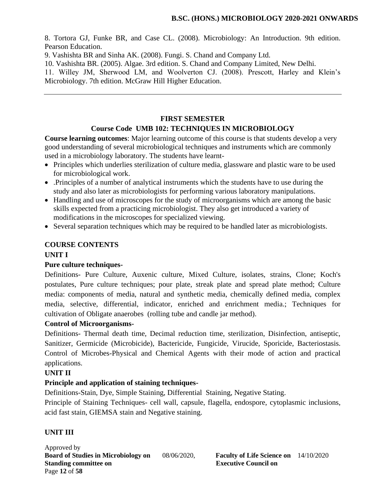8. Tortora GJ, Funke BR, and Case CL. (2008). Microbiology: An Introduction. 9th edition. Pearson Education.

9. Vashishta BR and Sinha AK. (2008). Fungi. S. Chand and Company Ltd.

10. Vashishta BR. (2005). Algae. 3rd edition. S. Chand and Company Limited, New Delhi.

11. Willey JM, Sherwood LM, and Woolverton CJ. (2008). Prescott, Harley and Klein's Microbiology. 7th edition. McGraw Hill Higher Education.

# **FIRST SEMESTER**

# **Course Code UMB 102: TECHNIQUES IN MICROBIOLOGY**

**Course learning outcomes**: Major learning outcome of this course is that students develop a very good understanding of several microbiological techniques and instruments which are commonly used in a microbiology laboratory. The students have learnt-

- Principles which underlies sterilization of culture media, glassware and plastic ware to be used for microbiological work.
- .Principles of a number of analytical instruments which the students have to use during the study and also later as microbiologists for performing various laboratory manipulations.
- Handling and use of microscopes for the study of microorganisms which are among the basic skills expected from a practicing microbiologist. They also get introduced a variety of modifications in the microscopes for specialized viewing.
- Several separation techniques which may be required to be handled later as microbiologists.

# **COURSE CONTENTS**

# **UNIT I**

# **Pure culture techniques-**

Definitions- Pure Culture, Auxenic culture, Mixed Culture, isolates, strains, Clone; Koch's postulates, Pure culture techniques; pour plate, streak plate and spread plate method; Culture media: components of media, natural and synthetic media, chemically defined media, complex media, selective, differential, indicator, enriched and enrichment media.; Techniques for cultivation of Obligate anaerobes (rolling tube and candle jar method).

# **Control of Microorganisms-**

Definitions- Thermal death time, Decimal reduction time, sterilization, Disinfection, antiseptic, Sanitizer, Germicide (Microbicide), Bactericide, Fungicide, Virucide, Sporicide, Bacteriostasis. Control of Microbes-Physical and Chemical Agents with their mode of action and practical applications.

#### **UNIT II**

# **Principle and application of staining techniques-**

Definitions-Stain, Dye, Simple Staining, Differential Staining, Negative Stating.

Principle of Staining Techniques- cell wall, capsule, flagella, endospore, cytoplasmic inclusions, acid fast stain, GIEMSA stain and Negative staining.

# **UNIT III**

Approved by **Board of Studies in Microbiology on** 08/06/2020, **Faculty of Life Science on** 14/10/2020 **Standing committee on Executive Council on American** Executive Council on Page **12** of **58**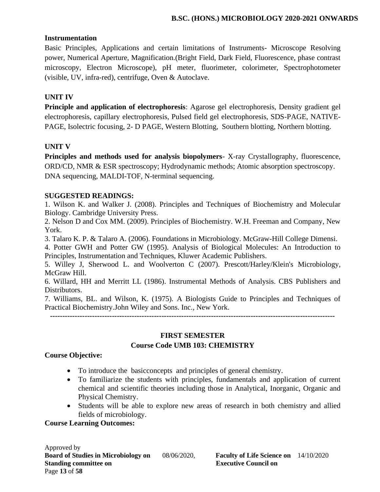#### **Instrumentation**

Basic Principles, Applications and certain limitations of Instruments- Microscope Resolving power, Numerical Aperture, Magnification.(Bright Field, Dark Field, Fluorescence, phase contrast microscopy, Electron Microscope), pH meter, fluorimeter, colorimeter, Spectrophotometer (visible, UV, infra-red), centrifuge, Oven & Autoclave.

#### **UNIT IV**

**Principle and application of electrophoresis**: Agarose gel electrophoresis, Density gradient gel electrophoresis, capillary electrophoresis, Pulsed field gel electrophoresis, SDS-PAGE, NATIVE-PAGE, Isolectric focusing, 2- D PAGE, Western Blotting, Southern blotting, Northern blotting.

#### **UNIT V**

**Principles and methods used for analysis biopolymers**- X-ray Crystallography, fluorescence, ORD/CD, NMR & ESR spectroscopy; Hydrodynamic methods; Atomic absorption spectroscopy. DNA sequencing, MALDI-TOF, N-terminal sequencing.

#### **SUGGESTED READINGS:**

1. Wilson K. and Walker J. (2008). Principles and Techniques of Biochemistry and Molecular Biology. Cambridge University Press.

2. Nelson D and Cox MM. (2009). Principles of Biochemistry. W.H. Freeman and Company, New York.

3. Talaro K. P. & Talaro A. (2006). Foundations in Microbiology. McGraw-Hill College Dimensi.

4. Potter GWH and Potter GW (1995). Analysis of Biological Molecules: An Introduction to Principles, Instrumentation and Techniques, Kluwer Academic Publishers.

5. Willey J, Sherwood L. and Woolverton C (2007). Prescott/Harley/Klein's Microbiology, McGraw Hill.

6. Willard, HH and Merritt LL (1986). Instrumental Methods of Analysis. CBS Publishers and Distributors.

7. Williams, BL. and Wilson, K. (1975). A Biologists Guide to Principles and Techniques of Practical Biochemistry.John Wiley and Sons. Inc., New York.

**-------------------------------------------------------------------------------------------------------------------**

# **FIRST SEMESTER Course Code UMB 103: CHEMISTRY**

#### **Course Objective:**

- To introduce the basicconcepts and principles of general chemistry.
- To familiarize the students with principles, fundamentals and application of current chemical and scientific theories including those in Analytical, Inorganic, Organic and Physical Chemistry.
- Students will be able to explore new areas of research in both chemistry and allied fields of microbiology.

#### **Course Learning Outcomes:**

Approved by **Board of Studies in Microbiology on** 08/06/2020, **Faculty of Life Science on** 14/10/2020 **Standing committee on Executive Council on Executive Council on** Page **13** of **58**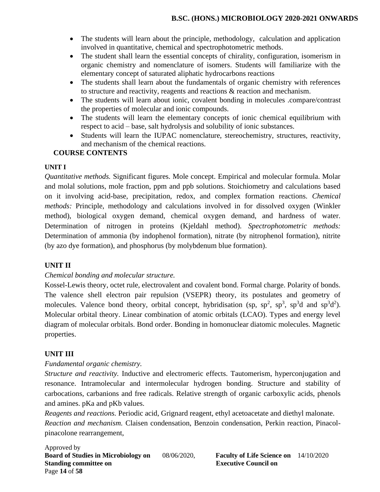- The students will learn about the principle, methodology, calculation and application involved in quantitative, chemical and spectrophotometric methods.
- The student shall learn the essential concepts of chirality, configuration, isomerism in organic chemistry and nomenclature of isomers. Students will familiarize with the elementary concept of saturated aliphatic hydrocarbons reactions
- The students shall learn about the fundamentals of organic chemistry with references to structure and reactivity, reagents and reactions & reaction and mechanism.
- The students will learn about ionic, covalent bonding in molecules .compare/contrast the properties of molecular and ionic compounds.
- The students will learn the elementary concepts of ionic chemical equilibrium with respect to acid – base, salt hydrolysis and solubility of ionic substances.
- Students will learn the IUPAC nomenclature, stereochemistry, structures, reactivity, and mechanism of the chemical reactions.

# **COURSE CONTENTS**

# **UNIT I**

*Quantitative methods.* Significant figures. Mole concept. Empirical and molecular formula. Molar and molal solutions, mole fraction, ppm and ppb solutions. Stoichiometry and calculations based on it involving acid-base, precipitation, redox, and complex formation reactions. *Chemical methods:* Principle, methodology and calculations involved in for dissolved oxygen (Winkler method), biological oxygen demand, chemical oxygen demand, and hardness of water. Determination of nitrogen in proteins (Kjeldahl method). *Spectrophotometric methods:* Determination of ammonia (by indophenol formation), nitrate (by nitrophenol formation), nitrite (by azo dye formation), and phosphorus (by molybdenum blue formation).

# **UNIT II**

# *Chemical bonding and molecular structure.*

Kossel-Lewis theory, octet rule, electrovalent and covalent bond. Formal charge. Polarity of bonds. The valence shell electron pair repulsion (VSEPR) theory, its postulates and geometry of molecules. Valence bond theory, orbital concept, hybridisation (sp,  $sp^2$ ,  $sp^3$ ,  $sp^3d$  and  $sp^3d^2$ ). Molecular orbital theory. Linear combination of atomic orbitals (LCAO). Types and energy level diagram of molecular orbitals. Bond order. Bonding in homonuclear diatomic molecules. Magnetic properties.

# **UNIT III**

# *Fundamental organic chemistry.*

*Structure and reactivity.* Inductive and electromeric effects. Tautomerism, hyperconjugation and resonance. Intramolecular and intermolecular hydrogen bonding. Structure and stability of carbocations, carbanions and free radicals. Relative strength of organic carboxylic acids, phenols and amines. pKa and pKb values.

*Reagents and reactions.* Periodic acid, Grignard reagent, ethyl acetoacetate and diethyl malonate. *Reaction and mechanism.* Claisen condensation, Benzoin condensation, Perkin reaction, Pinacolpinacolone rearrangement,

Approved by **Board of Studies in Microbiology on** 08/06/2020, **Faculty of Life Science on** 14/10/2020 **Standing committee on Executive Council on American** Executive Council on Page **14** of **58**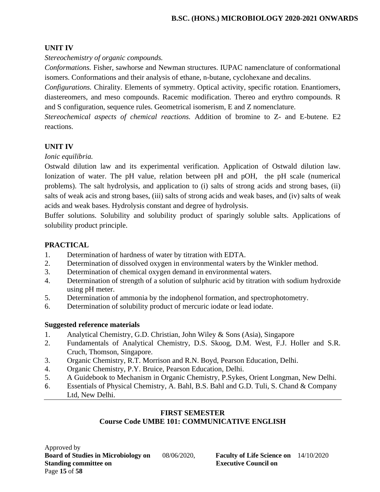# **UNIT IV**

*Stereochemistry of organic compounds.*

*Conformations.* Fisher, sawhorse and Newman structures. IUPAC namenclature of conformational isomers. Conformations and their analysis of ethane, n-butane, cyclohexane and decalins.

*Configurations.* Chirality. Elements of symmetry. Optical activity, specific rotation. Enantiomers, diastereomers, and meso compounds. Racemic modification. Thereo and erythro compounds. R and S configuration, sequence rules. Geometrical isomerism, E and Z nomenclature.

*Stereochemical aspects of chemical reactions.* Addition of bromine to Z- and E-butene. E2 reactions.

# **UNIT IV**

#### *Ionic equilibria.*

Ostwald dilution law and its experimental verification. Application of Ostwald dilution law. Ionization of water. The pH value, relation between pH and pOH, the pH scale (numerical problems). The salt hydrolysis, and application to (i) salts of strong acids and strong bases, (ii) salts of weak acis and strong bases, (iii) salts of strong acids and weak bases, and (iv) salts of weak acids and weak bases. Hydrolysis constant and degree of hydrolysis.

Buffer solutions. Solubility and solubility product of sparingly soluble salts. Applications of solubility product principle.

# **PRACTICAL**

- 1. Determination of hardness of water by titration with EDTA.
- 2. Determination of dissolved oxygen in environmental waters by the Winkler method.
- 3. Determination of chemical oxygen demand in environmental waters.
- 4. Determination of strength of a solution of sulphuric acid by titration with sodium hydroxide using pH meter.
- 5. Determination of ammonia by the indophenol formation, and spectrophotometry.
- 6. Determination of solubility product of mercuric iodate or lead iodate.

# **Suggested reference materials**

- 1. Analytical Chemistry, G.D. Christian, John Wiley & Sons (Asia), Singapore
- 2. Fundamentals of Analytical Chemistry, D.S. Skoog, D.M. West, F.J. Holler and S.R. Cruch, Thomson, Singapore.
- 3. Organic Chemistry, R.T. Morrison and R.N. Boyd, Pearson Education, Delhi.
- 4. Organic Chemistry, P.Y. Bruice, Pearson Education, Delhi.
- 5. A Guidebook to Mechanism in Organic Chemistry, P.Sykes, Orient Longman, New Delhi.
- 6. Essentials of Physical Chemistry, A. Bahl, B.S. Bahl and G.D. Tuli, S. Chand & Company Ltd, New Delhi.

#### **FIRST SEMESTER Course Code UMBE 101: COMMUNICATIVE ENGLISH**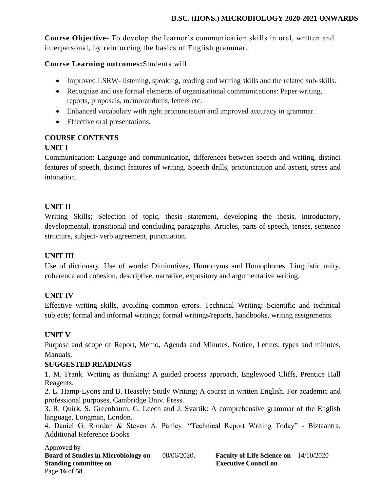**Course Objective**- To develop the learner's communication skills in oral, written and interpersonal, by reinforcing the basics of English grammar.

### **Course Learning outcomes:**Students will

- Improved LSRW- listening, speaking, reading and writing skills and the related sub-skills.
- Recognize and use formal elements of organizational communications: Paper writing, reports, proposals, memorandums, letters etc.
- Enhanced vocabulary with right pronunciation and improved accuracy in grammar.
- Effective oral presentations.

# **COURSE CONTENTS**

# **UNIT I**

Communication: Language and communication, differences between speech and writing, distinct features of speech, distinct features of writing. Speech drills, pronunciation and ascent, stress and intonation.

# **UNIT II**

Writing Skills; Selection of topic, thesis statement, developing the thesis, introductory, developmental, transitional and concluding paragraphs. Articles, parts of speech, tenses, sentence structure, subject- verb agreement, punctuation.

# **UNIT III**

Use of dictionary. Use of words: Diminutives, Homonyms and Homophones. Linguistic unity, coherence and cohesion, descriptive, narrative, expository and argumentative writing.

#### **UNIT IV**

Effective writing skills, avoiding common errors. Technical Writing: Scientific and technical subjects; formal and informal writings; formal writings/reports, handbooks, writing assignments.

#### **UNIT V**

Purpose and scope of Report, Memo, Agenda and Minutes. Notice, Letters; types and minutes, Manuals.

#### **SUGGESTED READINGS**

1. M. Frank. Writing as thinking: A guided process approach, Englewood Cliffs, Prentice Hall Reagents.

2. L. Hamp-Lyons and B. Heasely: Study Writing; A course in written English. For academic and professional purposes, Cambridge Univ. Press.

3. R. Quirk, S. Greenbaum, G. Leech and J. Svartik: A comprehensive grammar of the English language, Longman, London.

4. Daniel G. Riordan & Steven A. Panley: "Technical Report Writing Today" - Biztaantra. Additional Reference Books

Approved by **Board of Studies in Microbiology on** 08/06/2020, **Faculty of Life Science on** 14/10/2020 **Standing committee on Executive Council on American** Executive Council on Page **16** of **58**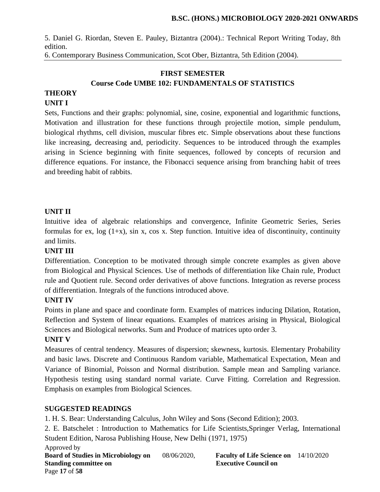5. Daniel G. Riordan, Steven E. Pauley, Biztantra (2004).: Technical Report Writing Today, 8th edition.

6. Contemporary Business Communication, Scot Ober, Biztantra, 5th Edition (2004).

### **FIRST SEMESTER Course Code UMBE 102: FUNDAMENTALS OF STATISTICS**

# **THEORY**

# **UNIT I**

Sets, Functions and their graphs: polynomial, sine, cosine, exponential and logarithmic functions, Motivation and illustration for these functions through projectile motion, simple pendulum, biological rhythms, cell division, muscular fibres etc. Simple observations about these functions like increasing, decreasing and, periodicity. Sequences to be introduced through the examples arising in Science beginning with finite sequences, followed by concepts of recursion and difference equations. For instance, the Fibonacci sequence arising from branching habit of trees and breeding habit of rabbits.

# **UNIT II**

Intuitive idea of algebraic relationships and convergence, Infinite Geometric Series, Series formulas for ex,  $log(1+x)$ , sin x, cos x. Step function. Intuitive idea of discontinuity, continuity and limits.

#### **UNIT III**

Differentiation. Conception to be motivated through simple concrete examples as given above from Biological and Physical Sciences. Use of methods of differentiation like Chain rule, Product rule and Quotient rule. Second order derivatives of above functions. Integration as reverse process of differentiation. Integrals of the functions introduced above.

#### **UNIT IV**

Points in plane and space and coordinate form. Examples of matrices inducing Dilation, Rotation, Reflection and System of linear equations. Examples of matrices arising in Physical, Biological Sciences and Biological networks. Sum and Produce of matrices upto order 3.

#### **UNIT V**

Measures of central tendency. Measures of dispersion; skewness, kurtosis. Elementary Probability and basic laws. Discrete and Continuous Random variable, Mathematical Expectation, Mean and Variance of Binomial, Poisson and Normal distribution. Sample mean and Sampling variance. Hypothesis testing using standard normal variate. Curve Fitting. Correlation and Regression. Emphasis on examples from Biological Sciences.

# **SUGGESTED READINGS**

1. H. S. Bear: Understanding Calculus, John Wiley and Sons (Second Edition); 2003.

2. E. Batschelet : Introduction to Mathematics for Life Scientists,Springer Verlag, International Student Edition, Narosa Publishing House, New Delhi (1971, 1975)

Approved by **Board of Studies in Microbiology on** 08/06/2020, **Faculty of Life Science on** 14/10/2020 **Standing committee on Executive Council on American** Executive Council on Page **17** of **58**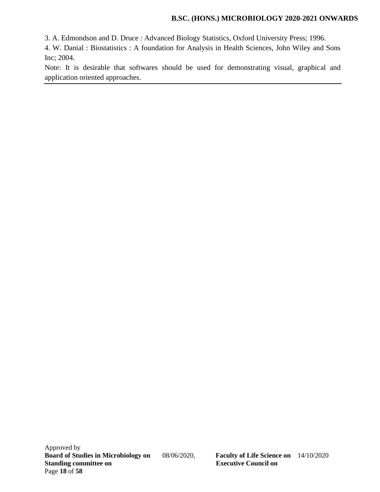3. A. Edmondson and D. Druce : Advanced Biology Statistics, Oxford University Press; 1996.

4. W. Danial : Biostatistics : A foundation for Analysis in Health Sciences, John Wiley and Sons Inc; 2004.

Note: It is desirable that softwares should be used for demonstrating visual, graphical and application oriented approaches.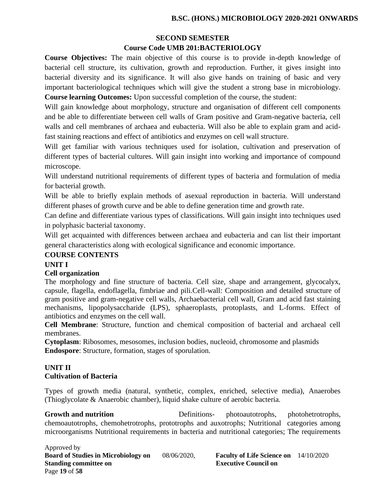# **SECOND SEMESTER Course Code UMB 201:BACTERIOLOGY**

**Course Objectives:** The main objective of this course is to provide in-depth knowledge of bacterial cell structure, its cultivation, growth and reproduction. Further, it gives insight into bacterial diversity and its significance. It will also give hands on training of basic and very important bacteriological techniques which will give the student a strong base in microbiology. **Course learning Outcomes:** Upon successful completion of the course, the student:

Will gain knowledge about morphology, structure and organisation of different cell components and be able to differentiate between cell walls of Gram positive and Gram-negative bacteria, cell walls and cell membranes of archaea and eubacteria. Will also be able to explain gram and acidfast staining reactions and effect of antibiotics and enzymes on cell wall structure.

Will get familiar with various techniques used for isolation, cultivation and preservation of different types of bacterial cultures. Will gain insight into working and importance of compound microscope.

Will understand nutritional requirements of different types of bacteria and formulation of media for bacterial growth.

Will be able to briefly explain methods of asexual reproduction in bacteria. Will understand different phases of growth curve and be able to define generation time and growth rate.

Can define and differentiate various types of classifications. Will gain insight into techniques used in polyphasic bacterial taxonomy.

Will get acquainted with differences between archaea and eubacteria and can list their important general characteristics along with ecological significance and economic importance.

# **COURSE CONTENTS**

# **UNIT I**

# **Cell organization**

The morphology and fine structure of bacteria. Cell size, shape and arrangement, glycocalyx, capsule, flagella, endoflagella, fimbriae and pili.Cell-wall: Composition and detailed structure of gram positive and gram-negative cell walls, Archaebacterial cell wall, Gram and acid fast staining mechanisms, lipopolysaccharide (LPS), sphaeroplasts, protoplasts, and L-forms. Effect of antibiotics and enzymes on the cell wall.

**Cell Membrane**: Structure, function and chemical composition of bacterial and archaeal cell membranes.

**Cytoplasm**: Ribosomes, mesosomes, inclusion bodies, nucleoid, chromosome and plasmids **Endospore**: Structure, formation, stages of sporulation.

# **UNIT II Cultivation of Bacteria**

Types of growth media (natural, synthetic, complex, enriched, selective media), Anaerobes (Thioglycolate & Anaerobic chamber), liquid shake culture of aerobic bacteria.

**Growth and nutrition Definitions-** photoautotrophs, photohetrotrophs, chemoautotrophs, chemohetrotrophs, prototrophs and auxotrophs; Nutritional categories among microorganisms Nutritional requirements in bacteria and nutritional categories; The requirements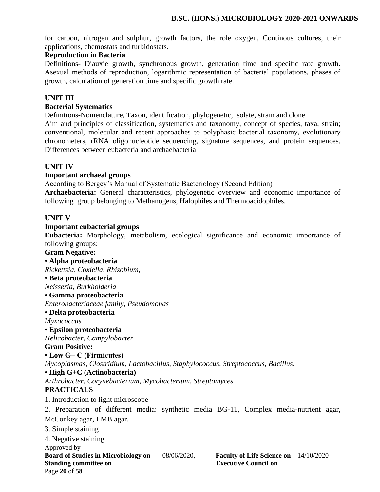for carbon, nitrogen and sulphur, growth factors, the role oxygen, Continous cultures, their applications, chemostats and turbidostats.

#### **Reproduction in Bacteria**

Definitions- Diauxie growth, synchronous growth, generation time and specific rate growth. Asexual methods of reproduction, logarithmic representation of bacterial populations, phases of growth, calculation of generation time and specific growth rate.

#### **UNIT III**

#### **Bacterial Systematics**

Definitions-Nomenclature, Taxon, identification, phylogenetic, isolate, strain and clone.

Aim and principles of classification, systematics and taxonomy, concept of species, taxa, strain; conventional, molecular and recent approaches to polyphasic bacterial taxonomy, evolutionary chronometers, rRNA oligonucleotide sequencing, signature sequences, and protein sequences. Differences between eubacteria and archaebacteria

#### **UNIT IV**

#### **Important archaeal groups**

According to Bergey's Manual of Systematic Bacteriology (Second Edition)

**Archaebacteria:** General characteristics, phylogenetic overview and economic importance of following group belonging to Methanogens, Halophiles and Thermoacidophiles.

#### **UNIT V**

#### **Important eubacterial groups**

**Eubacteria:** Morphology, metabolism, ecological significance and economic importance of following groups:

**Gram Negative:**

#### Approved by **Board of Studies in Microbiology on** 08/06/2020, **Faculty of Life Science on** 14/10/2020 **Standing committee on Executive Council on American** Executive Council on Page **20** of **58** • **Alpha proteobacteria** *Rickettsia, Coxiella, Rhizobium,*  • **Beta proteobacteria** *Neisseria, Burkholderia* • **Gamma proteobacteria** *Enterobacteriaceae family, Pseudomonas* • **Delta proteobacteria** *Myxococcus* • **Epsilon proteobacteria** *Helicobacter*, *Campylobacter* **Gram Positive: • Low G+ C (Firmicutes)** *Mycoplasmas*, *Clostridium*, *Lactobacillus*, *Staphylococcus, Streptococcus, Bacillus.* • **High G+C (Actinobacteria)** *Arthrobacter, Corynebacterium, Mycobacterium, Streptomyces* **PRACTICALS** 1. Introduction to light microscope 2. Preparation of different media: synthetic media BG-11, Complex media-nutrient agar, McConkey agar, EMB agar. 3. Simple staining 4. Negative staining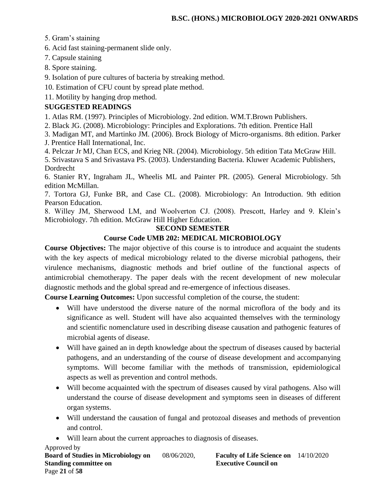5. Gram's staining

6. Acid fast staining-permanent slide only.

7. Capsule staining

8. Spore staining.

9. Isolation of pure cultures of bacteria by streaking method.

10. Estimation of CFU count by spread plate method.

11. Motility by hanging drop method.

# **SUGGESTED READINGS**

1. Atlas RM. (1997). Principles of Microbiology. 2nd edition. WM.T.Brown Publishers.

2. Black JG. (2008). Microbiology: Principles and Explorations. 7th edition. Prentice Hall

3. Madigan MT, and Martinko JM. (2006). Brock Biology of Micro-organisms. 8th edition. Parker J. Prentice Hall International, Inc.

4. Pelczar Jr MJ, Chan ECS, and Krieg NR. (2004). Microbiology. 5th edition Tata McGraw Hill.

5. Srivastava S and Srivastava PS. (2003). Understanding Bacteria. Kluwer Academic Publishers, Dordrecht

6. Stanier RY, Ingraham JL, Wheelis ML and Painter PR. (2005). General Microbiology. 5th edition McMillan.

7. Tortora GJ, Funke BR, and Case CL. (2008). Microbiology: An Introduction. 9th edition Pearson Education.

8. Willey JM, Sherwood LM, and Woolverton CJ. (2008). Prescott, Harley and 9. Klein's Microbiology. 7th edition. McGraw Hill Higher Education.

# **SECOND SEMESTER**

# **Course Code UMB 202: MEDICAL MICROBIOLOGY**

**Course Objectives:** The major objective of this course is to introduce and acquaint the students with the key aspects of medical microbiology related to the diverse microbial pathogens, their virulence mechanisms, diagnostic methods and brief outline of the functional aspects of antimicrobial chemotherapy. The paper deals with the recent development of new molecular diagnostic methods and the global spread and re-emergence of infectious diseases.

**Course Learning Outcomes:** Upon successful completion of the course, the student:

- Will have understood the diverse nature of the normal microflora of the body and its significance as well. Student will have also acquainted themselves with the terminology and scientific nomenclature used in describing disease causation and pathogenic features of microbial agents of disease.
- Will have gained an in depth knowledge about the spectrum of diseases caused by bacterial pathogens, and an understanding of the course of disease development and accompanying symptoms. Will become familiar with the methods of transmission, epidemiological aspects as well as prevention and control methods.
- Will become acquainted with the spectrum of diseases caused by viral pathogens. Also will understand the course of disease development and symptoms seen in diseases of different organ systems.
- Will understand the causation of fungal and protozoal diseases and methods of prevention and control.
- Will learn about the current approaches to diagnosis of diseases.

Approved by **Board of Studies in Microbiology on** 08/06/2020, **Faculty of Life Science on** 14/10/2020 **Standing committee on Executive Council on Algebra 2.5 Algebra 2.5 Algebra 2.5 Algebra 2.6 Algebra 2.6 Algebra 2.6 Algebra 2.6 Algebra 2.6 Algebra 2.6 Algebra 2.6 Algebra 2.6 Algebra 2.6 Algebra 2.6 Algebra 2.6 Algebra 2.** Page **21** of **58**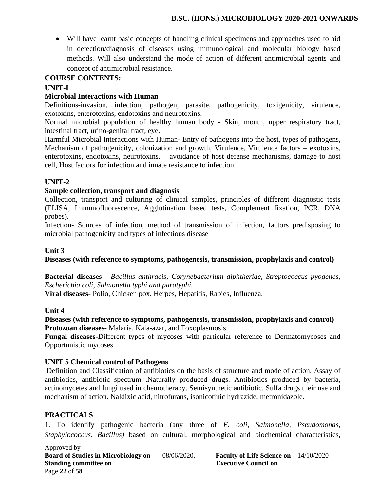• Will have learnt basic concepts of handling clinical specimens and approaches used to aid in detection/diagnosis of diseases using immunological and molecular biology based methods. Will also understand the mode of action of different antimicrobial agents and concept of antimicrobial resistance.

#### **COURSE CONTENTS:**

#### **UNIT-I**

#### **Microbial Interactions with Human**

Definitions-invasion, infection, pathogen, parasite, pathogenicity, toxigenicity, virulence, exotoxins, enterotoxins, endotoxins and neurotoxins.

Normal microbial population of healthy human body - Skin, mouth, upper respiratory tract, intestinal tract, urino-genital tract, eye.

Harmful Microbial Interactions with Human- Entry of pathogens into the host, types of pathogens, Mechanism of pathogenicity, colonization and growth, Virulence, Virulence factors – exotoxins, enterotoxins, endotoxins, neurotoxins. – avoidance of host defense mechanisms, damage to host cell, Host factors for infection and innate resistance to infection.

#### **UNIT-2**

#### **Sample collection, transport and diagnosis**

Collection, transport and culturing of clinical samples, principles of different diagnostic tests (ELISA, Immunofluorescence, Agglutination based tests, Complement fixation, PCR, DNA probes).

Infection- Sources of infection, method of transmission of infection, factors predisposing to microbial pathogenicity and types of infectious disease

#### **Unit 3**

**Diseases (with reference to symptoms, pathogenesis, transmission, prophylaxis and control)** 

**Bacterial diseases -** *Bacillus anthracis, Corynebacterium diphtheriae, Streptococcus pyogenes, Escherichia coli, Salmonella typhi and paratyphi.*

**Viral diseases-** Polio, Chicken pox, Herpes, Hepatitis, Rabies, Influenza.

#### **Unit 4**

**Diseases (with reference to symptoms, pathogenesis, transmission, prophylaxis and control) Protozoan diseases-** Malaria, Kala-azar, and Toxoplasmosis

**Fungal diseases**-Different types of mycoses with particular reference to Dermatomycoses and Opportunistic mycoses

#### **UNIT 5 Chemical control of Pathogens**

Definition and Classification of antibiotics on the basis of structure and mode of action. Assay of antibiotics, antibiotic spectrum .Naturally produced drugs. Antibiotics produced by bacteria, actinomycetes and fungi used in chemotherapy. Semisynthetic antibiotic. Sulfa drugs their use and mechanism of action. Naldixic acid, nitrofurans, isonicotinic hydrazide, metronidazole.

#### **PRACTICALS**

1. To identify pathogenic bacteria (any three of *E. coli, Salmonella, Pseudomonas, Staphylococcus, Bacillus)* based on cultural, morphological and biochemical characteristics,

Approved by **Board of Studies in Microbiology on** 08/06/2020, **Faculty of Life Science on** 14/10/2020 **Standing committee on Executive Council on Algebra** Page **22** of **58**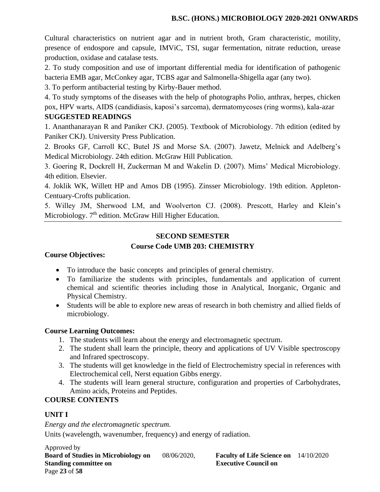Cultural characteristics on nutrient agar and in nutrient broth, Gram characteristic, motility, presence of endospore and capsule, IMViC, TSI, sugar fermentation, nitrate reduction, urease production, oxidase and catalase tests.

2. To study composition and use of important differential media for identification of pathogenic bacteria EMB agar, McConkey agar, TCBS agar and Salmonella-Shigella agar (any two).

3. To perform antibacterial testing by Kirby-Bauer method.

4. To study symptoms of the diseases with the help of photographs Polio, anthrax, herpes, chicken pox, HPV warts, AIDS (candidiasis, kaposi's sarcoma), dermatomycoses (ring worms), kala-azar **SUGGESTED READINGS**

1. Ananthanarayan R and Paniker CKJ. (2005). Textbook of Microbiology. 7th edition (edited by Paniker CKJ). University Press Publication.

2. Brooks GF, Carroll KC, Butel JS and Morse SA. (2007). Jawetz, Melnick and Adelberg's Medical Microbiology. 24th edition. McGraw Hill Publication.

3. Goering R, Dockrell H, Zuckerman M and Wakelin D. (2007). Mims' Medical Microbiology. 4th edition. Elsevier.

4. Joklik WK, Willett HP and Amos DB (1995). Zinsser Microbiology. 19th edition. Appleton-Centuary-Crofts publication.

5. Willey JM, Sherwood LM, and Woolverton CJ. (2008). Prescott, Harley and Klein's Microbiology. 7<sup>th</sup> edition. McGraw Hill Higher Education.

# **SECOND SEMESTER Course Code UMB 203: CHEMISTRY**

# **Course Objectives:**

- To introduce the basic concepts and principles of general chemistry.
- To familiarize the students with principles, fundamentals and application of current chemical and scientific theories including those in Analytical, Inorganic, Organic and Physical Chemistry.
- Students will be able to explore new areas of research in both chemistry and allied fields of microbiology.

# **Course Learning Outcomes:**

- 1. The students will learn about the energy and electromagnetic spectrum.
- 2. The student shall learn the principle, theory and applications of UV Visible spectroscopy and Infrared spectroscopy.
- 3. The students will get knowledge in the field of Electrochemistry special in references with Electrochemical cell, Nerst equation Gibbs energy.
- 4. The students will learn general structure, configuration and properties of Carbohydrates, Amino acids, Proteins and Peptides.

# **COURSE CONTENTS**

# **UNIT I**

*Energy and the electromagnetic spectrum.*

Units (wavelength, wavenumber, frequency) and energy of radiation.

Approved by **Board of Studies in Microbiology on** 08/06/2020, **Faculty of Life Science on** 14/10/2020 **Standing committee on Executive Council on Algebra** Page **23** of **58**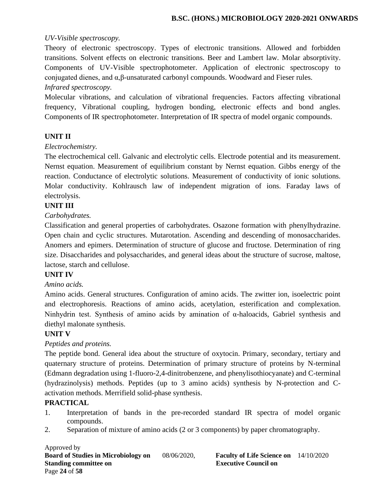#### *UV-Visible spectroscopy.*

Theory of electronic spectroscopy. Types of electronic transitions. Allowed and forbidden transitions. Solvent effects on electronic transitions. Beer and Lambert law. Molar absorptivity. Components of UV-Visible spectrophotometer. Application of electronic spectroscopy to conjugated dienes, and α,β-unsaturated carbonyl compounds. Woodward and Fieser rules.

#### *Infrared spectroscopy.*

Molecular vibrations, and calculation of vibrational frequencies. Factors affecting vibrational frequency, Vibrational coupling, hydrogen bonding, electronic effects and bond angles. Components of IR spectrophotometer. Interpretation of IR spectra of model organic compounds.

#### **UNIT II**

#### *Electrochemistry.*

The electrochemical cell. Galvanic and electrolytic cells. Electrode potential and its measurement. Nernst equation. Measurement of equilibrium constant by Nernst equation. Gibbs energy of the reaction. Conductance of electrolytic solutions. Measurement of conductivity of ionic solutions. Molar conductivity. Kohlrausch law of independent migration of ions. Faraday laws of electrolysis.

# **UNIT III**

#### *Carbohydrates.*

Classification and general properties of carbohydrates. Osazone formation with phenylhydrazine. Open chain and cyclic structures. Mutarotation. Ascending and descending of monosaccharides. Anomers and epimers. Determination of structure of glucose and fructose. Determination of ring size. Disaccharides and polysaccharides, and general ideas about the structure of sucrose, maltose, lactose, starch and cellulose.

#### **UNIT IV**

#### *Amino acids.*

Amino acids. General structures. Configuration of amino acids. The zwitter ion, isoelectric point and electrophoresis. Reactions of amino acids, acetylation, esterification and complexation. Ninhydrin test. Synthesis of amino acids by amination of α-haloacids, Gabriel synthesis and diethyl malonate synthesis.

#### **UNIT V**

#### *Peptides and proteins.*

The peptide bond. General idea about the structure of oxytocin. Primary, secondary, tertiary and quaternary structure of proteins. Determination of primary structure of proteins by N-terminal (Edmann degradation using 1-fluoro-2,4-dinitrobenzene, and phenylisothiocyanate) and C-terminal (hydrazinolysis) methods. Peptides (up to 3 amino acids) synthesis by N-protection and Cactivation methods. Merrifield solid-phase synthesis.

#### **PRACTICAL**

- 1. Interpretation of bands in the pre-recorded standard IR spectra of model organic compounds.
- 2. Separation of mixture of amino acids (2 or 3 components) by paper chromatography.

Approved by **Board of Studies in Microbiology on** 08/06/2020, **Faculty of Life Science on** 14/10/2020 **Standing committee on Executive Council on Algebra 2.5 Algebra 2.5 Algebra 2.5 Algebra 2.6 Algebra 2.6 Algebra 2.6 Algebra 2.6 Algebra 2.6 Algebra 2.6 Algebra 2.6 Algebra 2.6 Algebra 2.6 Algebra 2.6 Algebra 2.6 Algebra 2.** Page **24** of **58**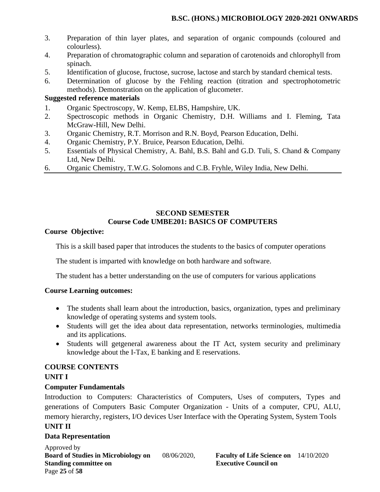- 3. Preparation of thin layer plates, and separation of organic compounds (coloured and colourless).
- 4. Preparation of chromatographic column and separation of carotenoids and chlorophyll from spinach.
- 5. Identification of glucose, fructose, sucrose, lactose and starch by standard chemical tests.
- 6. Determination of glucose by the Fehling reaction (titration and spectrophotometric methods). Demonstration on the application of glucometer.

#### **Suggested reference materials**

- 1. Organic Spectroscopy, W. Kemp, ELBS, Hampshire, UK.
- 2. Spectroscopic methods in Organic Chemistry, D.H. Williams and I. Fleming, Tata McGraw-Hill, New Delhi.
- 3. Organic Chemistry, R.T. Morrison and R.N. Boyd, Pearson Education, Delhi.
- 4. Organic Chemistry, P.Y. Bruice, Pearson Education, Delhi.
- 5. Essentials of Physical Chemistry, A. Bahl, B.S. Bahl and G.D. Tuli, S. Chand & Company Ltd, New Delhi.
- 6. Organic Chemistry, T.W.G. Solomons and C.B. Fryhle, Wiley India, New Delhi.

#### **SECOND SEMESTER Course Code UMBE201: BASICS OF COMPUTERS**

#### **Course Objective:**

This is a skill based paper that introduces the students to the basics of computer operations

The student is imparted with knowledge on both hardware and software.

The student has a better understanding on the use of computers for various applications

#### **Course Learning outcomes:**

- The students shall learn about the introduction, basics, organization, types and preliminary knowledge of operating systems and system tools.
- Students will get the idea about data representation, networks terminologies, multimedia and its applications.
- Students will getgeneral awareness about the IT Act, system security and preliminary knowledge about the I-Tax, E banking and E reservations.

#### **COURSE CONTENTS**

#### **UNIT I**

#### **Computer Fundamentals**

Introduction to Computers: Characteristics of Computers, Uses of computers, Types and generations of Computers Basic Computer Organization - Units of a computer, CPU, ALU, memory hierarchy, registers, I/O devices User Interface with the Operating System, System Tools

# **UNIT II**

#### **Data Representation**

Approved by **Board of Studies in Microbiology on** 08/06/2020, **Faculty of Life Science on** 14/10/2020 **Standing committee on Executive Council on Algebra** Page **25** of **58**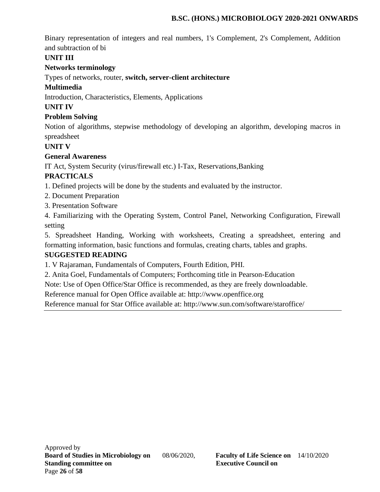Binary representation of integers and real numbers, 1's Complement, 2's Complement, Addition and subtraction of bi

# **UNIT III**

# **Networks terminology**

Types of networks, router, **switch, server-client architecture**

# **Multimedia**

Introduction, Characteristics, Elements, Applications

# **UNIT IV**

# **Problem Solving**

Notion of algorithms, stepwise methodology of developing an algorithm, developing macros in spreadsheet

# **UNIT V**

# **General Awareness**

IT Act, System Security (virus/firewall etc.) I-Tax, Reservations,Banking

# **PRACTICALS**

1. Defined projects will be done by the students and evaluated by the instructor.

- 2. Document Preparation
- 3. Presentation Software

4. Familiarizing with the Operating System, Control Panel, Networking Configuration, Firewall setting

5. Spreadsheet Handing, Working with worksheets, Creating a spreadsheet, entering and formatting information, basic functions and formulas, creating charts, tables and graphs.

# **SUGGESTED READING**

1. V Rajaraman, Fundamentals of Computers, Fourth Edition, PHI.

2. Anita Goel, Fundamentals of Computers; Forthcoming title in Pearson-Education

Note: Use of Open Office/Star Office is recommended, as they are freely downloadable.

Reference manual for Open Office available at: http://www.openffice.org

Reference manual for Star Office available at: http://www.sun.com/software/staroffice/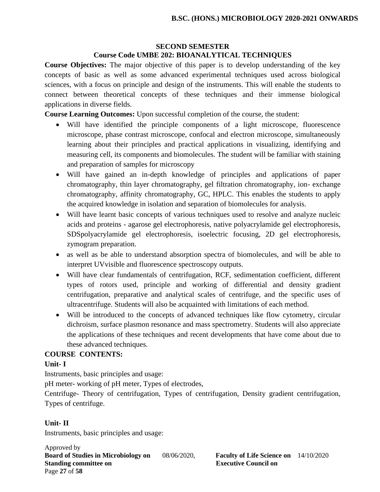# **SECOND SEMESTER**

# **Course Code UMBE 202: BIOANALYTICAL TECHNIQUES**

**Course Objectives:** The major objective of this paper is to develop understanding of the key concepts of basic as well as some advanced experimental techniques used across biological sciences, with a focus on principle and design of the instruments. This will enable the students to connect between theoretical concepts of these techniques and their immense biological applications in diverse fields.

**Course Learning Outcomes:** Upon successful completion of the course, the student:

- Will have identified the principle components of a light microscope, fluorescence microscope, phase contrast microscope, confocal and electron microscope, simultaneously learning about their principles and practical applications in visualizing, identifying and measuring cell, its components and biomolecules. The student will be familiar with staining and preparation of samples for microscopy
- Will have gained an in-depth knowledge of principles and applications of paper chromatography, thin layer chromatography, gel filtration chromatography, ion- exchange chromatography, affinity chromatography, GC, HPLC. This enables the students to apply the acquired knowledge in isolation and separation of biomolecules for analysis.
- Will have learnt basic concepts of various techniques used to resolve and analyze nucleic acids and proteins - agarose gel electrophoresis, native polyacrylamide gel electrophoresis, SDSpolyacrylamide gel electrophoresis, isoelectric focusing, 2D gel electrophoresis, zymogram preparation.
- as well as be able to understand absorption spectra of biomolecules, and will be able to interpret UVvisible and fluorescence spectroscopy outputs.
- Will have clear fundamentals of centrifugation, RCF, sedimentation coefficient, different types of rotors used, principle and working of differential and density gradient centrifugation, preparative and analytical scales of centrifuge, and the specific uses of ultracentrifuge. Students will also be acquainted with limitations of each method.
- Will be introduced to the concepts of advanced techniques like flow cytometry, circular dichroism, surface plasmon resonance and mass spectrometry. Students will also appreciate the applications of these techniques and recent developments that have come about due to these advanced techniques.

#### **COURSE CONTENTS:**

#### **Unit- I**

Instruments, basic principles and usage:

pH meter- working of pH meter, Types of electrodes,

Centrifuge- Theory of centrifugation, Types of centrifugation, Density gradient centrifugation, Types of centrifuge.

#### **Unit- II**

Instruments, basic principles and usage:

Approved by **Board of Studies in Microbiology on** 08/06/2020, **Faculty of Life Science on** 14/10/2020 **Standing committee on Executive Council on Algebra** Page **27** of **58**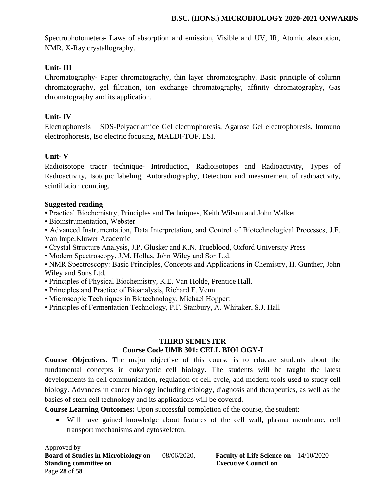Spectrophotometers- Laws of absorption and emission, Visible and UV, IR, Atomic absorption, NMR, X-Ray crystallography.

# **Unit- III**

Chromatography- Paper chromatography, thin layer chromatography, Basic principle of column chromatography, gel filtration, ion exchange chromatography, affinity chromatography, Gas chromatography and its application.

### **Unit- IV**

Electrophoresis – SDS-Polyacrlamide Gel electrophoresis, Agarose Gel electrophoresis, Immuno electrophoresis, Iso electric focusing, MALDI-TOF, ESI.

# **Unit- V**

Radioisotope tracer technique- Introduction, Radioisotopes and Radioactivity, Types of Radioactivity, Isotopic labeling, Autoradiography, Detection and measurement of radioactivity, scintillation counting.

#### **Suggested reading**

• Practical Biochemistry, Principles and Techniques, Keith Wilson and John Walker

• Bioinstrumentation, Webster

• Advanced Instrumentation, Data Interpretation, and Control of Biotechnological Processes, J.F. Van Impe,Kluwer Academic

- Crystal Structure Analysis, J.P. Glusker and K.N. Trueblood, Oxford University Press
- Modern Spectroscopy, J.M. Hollas, John Wiley and Son Ltd.

• NMR Spectroscopy: Basic Principles, Concepts and Applications in Chemistry, H. Gunther, John Wiley and Sons Ltd.

- Principles of Physical Biochemistry, K.E. Van Holde, Prentice Hall.
- Principles and Practice of Bioanalysis, Richard F. Venn
- Microscopic Techniques in Biotechnology, Michael Hoppert
- Principles of Fermentation Technology, P.F. Stanbury, A. Whitaker, S.J. Hall

#### **THIRD SEMESTER Course Code UMB 301: CELL BIOLOGY-I**

**Course Objectives**: The major objective of this course is to educate students about the fundamental concepts in eukaryotic cell biology. The students will be taught the latest developments in cell communication, regulation of cell cycle, and modern tools used to study cell biology. Advances in cancer biology including etiology, diagnosis and therapeutics, as well as the basics of stem cell technology and its applications will be covered.

**Course Learning Outcomes:** Upon successful completion of the course, the student:

• Will have gained knowledge about features of the cell wall, plasma membrane, cell transport mechanisms and cytoskeleton.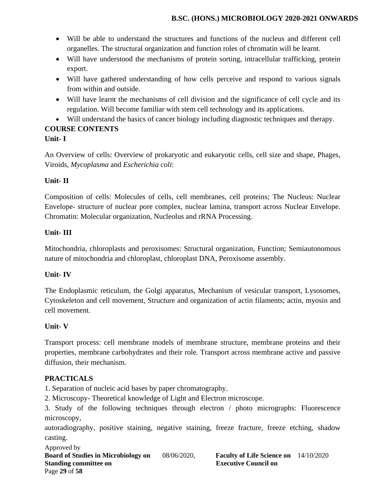- Will be able to understand the structures and functions of the nucleus and different cell organelles. The structural organization and function roles of chromatin will be learnt.
- Will have understood the mechanisms of protein sorting, intracellular trafficking, protein export.
- Will have gathered understanding of how cells perceive and respond to various signals from within and outside.
- Will have learnt the mechanisms of cell division and the significance of cell cycle and its regulation. Will become familiar with stem cell technology and its applications.
- Will understand the basics of cancer biology including diagnostic techniques and therapy.

#### **COURSE CONTENTS Unit- I**

An Overview of cells: Overview of prokaryotic and eukaryotic cells, cell size and shape, Phages, Viroids, *Mycoplasma* and *Escherichia coli*:

# **Unit- II**

Composition of cells: Molecules of cells, cell membranes, cell proteins; The Nucleus: Nuclear Envelope- structure of nuclear pore complex, nuclear lamina, transport across Nuclear Envelope. Chromatin: Molecular organization, Nucleolus and rRNA Processing.

# **Unit- III**

Mitochondria, chloroplasts and peroxisomes: Structural organization, Function; Semiautonomous nature of mitochondria and chloroplast, chloroplast DNA, Peroxisome assembly.

# **Unit- IV**

The Endoplasmic reticulum, the Golgi apparatus, Mechanism of vesicular transport, Lysosomes, Cytoskeleton and cell movement, Structure and organization of actin filaments; actin, myosin and cell movement.

# **Unit- V**

Transport process: cell membrane models of membrane structure, membrane proteins and their properties, membrane carbohydrates and their role. Transport across membrane active and passive diffusion, their mechanism.

# **PRACTICALS**

1. Separation of nucleic acid bases by paper chromatography.

2. Microscopy- Theoretical knowledge of Light and Electron microscope.

3. Study of the following techniques through electron / photo micrographs: Fluorescence microscopy,

autoradiography, positive staining, negative staining, freeze fracture, freeze etching, shadow casting.

Approved by **Board of Studies in Microbiology on** 08/06/2020, **Faculty of Life Science on** 14/10/2020 **Standing committee on Executive Council on Algebra** Page **29** of **58**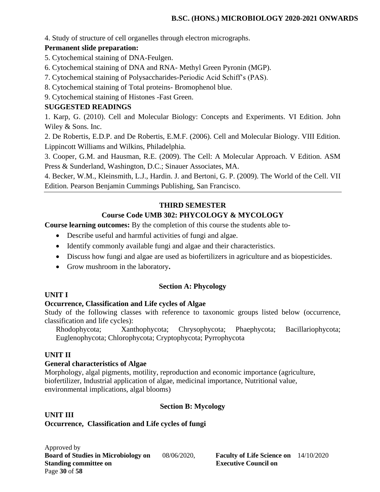4. Study of structure of cell organelles through electron micrographs.

#### **Permanent slide preparation:**

- 5. Cytochemical staining of DNA-Feulgen.
- 6. Cytochemical staining of DNA and RNA- Methyl Green Pyronin (MGP).
- 7. Cytochemical staining of Polysaccharides-Periodic Acid Schiff's (PAS).
- 8. Cytochemical staining of Total proteins- Bromophenol blue.
- 9. Cytochemical staining of Histones -Fast Green.

# **SUGGESTED READINGS**

1. Karp, G. (2010). Cell and Molecular Biology: Concepts and Experiments. VI Edition. John Wiley & Sons. Inc.

2. De Robertis, E.D.P. and De Robertis, E.M.F. (2006). Cell and Molecular Biology. VIII Edition. Lippincott Williams and Wilkins, Philadelphia.

3. Cooper, G.M. and Hausman, R.E. (2009). The Cell: A Molecular Approach. V Edition. ASM Press & Sunderland, Washington, D.C.; Sinauer Associates, MA.

4. Becker, W.M., Kleinsmith, L.J., Hardin. J. and Bertoni, G. P. (2009). The World of the Cell. VII Edition. Pearson Benjamin Cummings Publishing, San Francisco.

# **THIRD SEMESTER**

# **Course Code UMB 302: PHYCOLOGY & MYCOLOGY**

**Course learning outcomes:** By the completion of this course the students able to-

- Describe useful and harmful activities of fungi and algae.
- Identify commonly available fungi and algae and their characteristics.
- Discuss how fungi and algae are used as biofertilizers in agriculture and as biopesticides.
- Grow mushroom in the laboratory**.**

#### **Section A: Phycology**

#### **UNIT I**

#### **Occurrence, Classification and Life cycles of Algae**

Study of the following classes with reference to taxonomic groups listed below (occurrence, classification and life cycles):

Rhodophycota; Xanthophycota; Chrysophycota; Phaephycota; Bacillariophycota; Euglenophycota; Chlorophycota; Cryptophycota; Pyrrophycota

#### **UNIT II**

#### **General characteristics of Algae**

Morphology, algal pigments, motility, reproduction and economic importance (agriculture, biofertilizer, Industrial application of algae, medicinal importance, Nutritional value, environmental implications, algal blooms)

#### **Section B: Mycology**

#### **UNIT III**

### **Occurrence, Classification and Life cycles of fungi**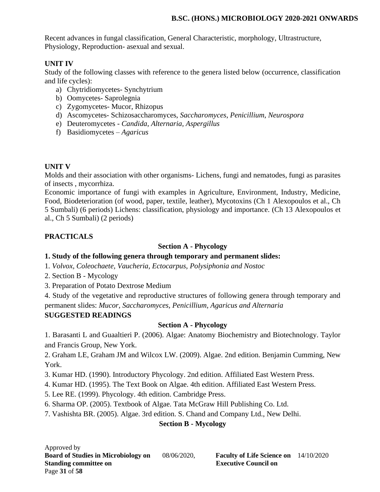Recent advances in fungal classification, General Characteristic, morphology, Ultrastructure, Physiology, Reproduction- asexual and sexual.

# **UNIT IV**

Study of the following classes with reference to the genera listed below (occurrence, classification and life cycles):

- a) Chytridiomycetes- Synchytrium
- b) Oomycetes- Saprolegnia
- c) Zygomycetes- Mucor, Rhizopus
- d) Ascomycetes- Schizosaccharomyces, *Saccharomyces*, *Penicillium*, *Neurospora*
- e) Deuteromycetes *Candida*, *Alternaria, Aspergillus*
- f) Basidiomycetes *Agaricus*

# **UNIT V**

Molds and their association with other organisms- Lichens, fungi and nematodes, fungi as parasites of insects , mycorrhiza.

Economic importance of fungi with examples in Agriculture, Environment, Industry, Medicine, Food, Biodeterioration (of wood, paper, textile, leather), Mycotoxins (Ch 1 Alexopoulos et al., Ch 5 Sumbali) (6 periods) Lichens: classification, physiology and importance. (Ch 13 Alexopoulos et al., Ch 5 Sumbali) (2 periods)

# **PRACTICALS**

# **Section A - Phycology**

# **1. Study of the following genera through temporary and permanent slides:**

- 1*. Volvox, Coleochaete, Vaucheria, Ectocarpus, Polysiphonia and Nostoc*
- 2. Section B Mycology
- 3. Preparation of Potato Dextrose Medium

4. Study of the vegetative and reproductive structures of following genera through temporary and permanent slides: *Mucor, Saccharomyces, Penicillium, Agaricus and Alternaria*

# **SUGGESTED READINGS**

# **Section A - Phycology**

1. Barasanti L and Guaaltieri P. (2006). Algae: Anatomy Biochemistry and Biotechnology. Taylor and Francis Group, New York.

2. Graham LE, Graham JM and Wilcox LW. (2009). Algae. 2nd edition. Benjamin Cumming, New York.

- 3. Kumar HD. (1990). Introductory Phycology. 2nd edition. Affiliated East Western Press.
- 4. Kumar HD. (1995). The Text Book on Algae. 4th edition. Affiliated East Western Press.
- 5. Lee RE. (1999). Phycology. 4th edition. Cambridge Press.
- 6. Sharma OP. (2005). Textbook of Algae. Tata McGraw Hill Publishing Co. Ltd.
- 7. Vashishta BR. (2005). Algae. 3rd edition. S. Chand and Company Ltd., New Delhi.

# **Section B - Mycology**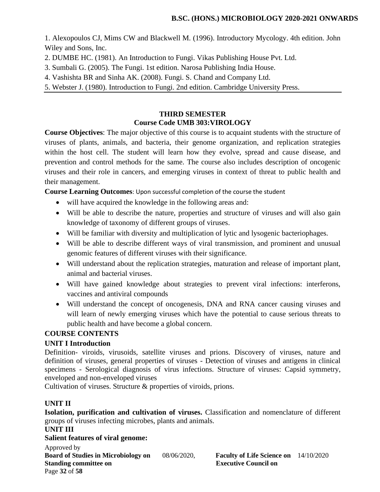1. Alexopoulos CJ, Mims CW and Blackwell M. (1996). Introductory Mycology. 4th edition. John Wiley and Sons, Inc.

- 2. DUMBE HC. (1981). An Introduction to Fungi. Vikas Publishing House Pvt. Ltd.
- 3. Sumbali G. (2005). The Fungi. 1st edition. Narosa Publishing India House.
- 4. Vashishta BR and Sinha AK. (2008). Fungi. S. Chand and Company Ltd.
- 5. Webster J. (1980). Introduction to Fungi. 2nd edition. Cambridge University Press.

### **THIRD SEMESTER Course Code UMB 303:VIROLOGY**

**Course Objectives**: The major objective of this course is to acquaint students with the structure of viruses of plants, animals, and bacteria, their genome organization, and replication strategies within the host cell. The student will learn how they evolve, spread and cause disease, and prevention and control methods for the same. The course also includes description of oncogenic viruses and their role in cancers, and emerging viruses in context of threat to public health and their management.

**Course Learning Outcomes**: Upon successful completion of the course the student

- will have acquired the knowledge in the following areas and:
- Will be able to describe the nature, properties and structure of viruses and will also gain knowledge of taxonomy of different groups of viruses.
- Will be familiar with diversity and multiplication of lytic and lysogenic bacteriophages.
- Will be able to describe different ways of viral transmission, and prominent and unusual genomic features of different viruses with their significance.
- Will understand about the replication strategies, maturation and release of important plant, animal and bacterial viruses.
- Will have gained knowledge about strategies to prevent viral infections: interferons, vaccines and antiviral compounds
- Will understand the concept of oncogenesis, DNA and RNA cancer causing viruses and will learn of newly emerging viruses which have the potential to cause serious threats to public health and have become a global concern.

#### **COURSE CONTENTS**

#### **UNIT I Introduction**

Definition- viroids, virusoids, satellite viruses and prions. Discovery of viruses, nature and definition of viruses, general properties of viruses - Detection of viruses and antigens in clinical specimens - Serological diagnosis of virus infections. Structure of viruses: Capsid symmetry, enveloped and non-enveloped viruses

Cultivation of viruses. Structure & properties of viroids, prions.

# **UNIT II**

**Isolation, purification and cultivation of viruses.** Classification and nomenclature of different groups of viruses infecting microbes, plants and animals.

#### **UNIT III**

#### **Salient features of viral genome:**

Approved by **Board of Studies in Microbiology on** 08/06/2020, **Faculty of Life Science on** 14/10/2020 **Standing committee on Executive Council on Algebra** Page **32** of **58**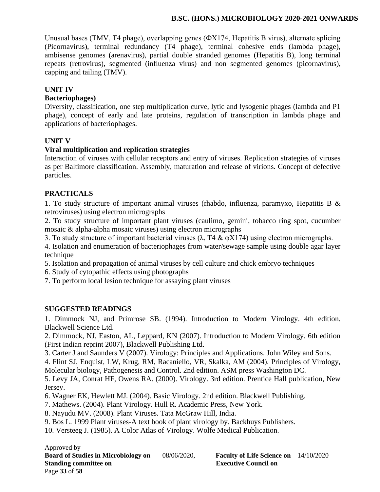Unusual bases (TMV, T4 phage), overlapping genes (ФX174, Hepatitis B virus), alternate splicing (Picornavirus), terminal redundancy (T4 phage), terminal cohesive ends (lambda phage), ambisense genomes (arenavirus), partial double stranded genomes (Hepatitis B), long terminal repeats (retrovirus), segmented (influenza virus) and non segmented genomes (picornavirus), capping and tailing (TMV).

#### **UNIT IV**

#### **Bacteriophages)**

Diversity, classification, one step multiplication curve, lytic and lysogenic phages (lambda and P1 phage), concept of early and late proteins, regulation of transcription in lambda phage and applications of bacteriophages.

#### **UNIT V**

#### **Viral multiplication and replication strategies**

Interaction of viruses with cellular receptors and entry of viruses. Replication strategies of viruses as per Baltimore classification. Assembly, maturation and release of virions. Concept of defective particles.

# **PRACTICALS**

1. To study structure of important animal viruses (rhabdo, influenza, paramyxo, Hepatitis B & retroviruses) using electron micrographs

2. To study structure of important plant viruses (caulimo, gemini, tobacco ring spot, cucumber mosaic & alpha-alpha mosaic viruses) using electron micrographs

3. To study structure of important bacterial viruses ( $\lambda$ , T4 &  $\varphi$ X174) using electron micrographs.

4. Isolation and enumeration of bacteriophages from water/sewage sample using double agar layer technique

5. Isolation and propagation of animal viruses by cell culture and chick embryo techniques

6. Study of cytopathic effects using photographs

7. To perform local lesion technique for assaying plant viruses

#### **SUGGESTED READINGS**

1. Dimmock NJ, and Primrose SB. (1994). Introduction to Modern Virology. 4th edition. Blackwell Science Ltd.

2. Dimmock, NJ, Easton, AL, Leppard, KN (2007). Introduction to Modern Virology. 6th edition (First Indian reprint 2007), Blackwell Publishing Ltd.

3. Carter J and Saunders V (2007). Virology: Principles and Applications. John Wiley and Sons.

4. Flint SJ, Enquist, LW, Krug, RM, Racaniello, VR, Skalka, AM (2004). Principles of Virology, Molecular biology, Pathogenesis and Control. 2nd edition. ASM press Washington DC.

5. Levy JA, Conrat HF, Owens RA. (2000). Virology. 3rd edition. Prentice Hall publication, New Jersey.

6. Wagner EK, Hewlett MJ. (2004). Basic Virology. 2nd edition. Blackwell Publishing.

7. Mathews. (2004). Plant Virology. Hull R. Academic Press, New York.

8. Nayudu MV. (2008). Plant Viruses. Tata McGraw Hill, India.

9. Bos L. 1999 Plant viruses-A text book of plant virology by. Backhuys Publishers.

10. Versteeg J. (1985). A Color Atlas of Virology. Wolfe Medical Publication.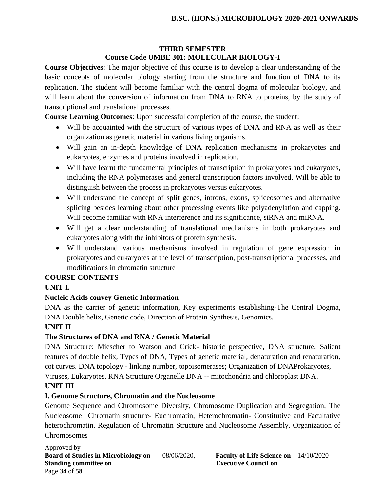# **THIRD SEMESTER Course Code UMBE 301: MOLECULAR BIOLOGY-I**

**Course Objectives**: The major objective of this course is to develop a clear understanding of the basic concepts of molecular biology starting from the structure and function of DNA to its replication. The student will become familiar with the central dogma of molecular biology, and will learn about the conversion of information from DNA to RNA to proteins, by the study of transcriptional and translational processes.

**Course Learning Outcomes**: Upon successful completion of the course, the student:

- Will be acquainted with the structure of various types of DNA and RNA as well as their organization as genetic material in various living organisms.
- Will gain an in-depth knowledge of DNA replication mechanisms in prokaryotes and eukaryotes, enzymes and proteins involved in replication.
- Will have learnt the fundamental principles of transcription in prokaryotes and eukaryotes, including the RNA polymerases and general transcription factors involved. Will be able to distinguish between the process in prokaryotes versus eukaryotes.
- Will understand the concept of split genes, introns, exons, spliceosomes and alternative splicing besides learning about other processing events like polyadenylation and capping. Will become familiar with RNA interference and its significance, siRNA and miRNA.
- Will get a clear understanding of translational mechanisms in both prokaryotes and eukaryotes along with the inhibitors of protein synthesis.
- Will understand various mechanisms involved in regulation of gene expression in prokaryotes and eukaryotes at the level of transcription, post-transcriptional processes, and modifications in chromatin structure

# **COURSE CONTENTS**

# **UNIT I.**

# **Nucleic Acids convey Genetic Information**

DNA as the carrier of genetic information, Key experiments establishing-The Central Dogma, DNA Double helix, Genetic code, Direction of Protein Synthesis, Genomics.

# **UNIT II**

# **The Structures of DNA and RNA / Genetic Material**

DNA Structure: Miescher to Watson and Crick- historic perspective, DNA structure, Salient features of double helix, Types of DNA, Types of genetic material, denaturation and renaturation, cot curves. DNA topology - linking number, topoisomerases; Organization of DNAProkaryotes, Viruses, Eukaryotes. RNA Structure Organelle DNA -- mitochondria and chloroplast DNA.

# **UNIT III**

# **I. Genome Structure, Chromatin and the Nucleosome**

Genome Sequence and Chromosome Diversity, Chromosome Duplication and Segregation, The Nucleosome Chromatin structure- Euchromatin, Heterochromatin- Constitutive and Facultative heterochromatin. Regulation of Chromatin Structure and Nucleosome Assembly. Organization of **Chromosomes** 

Approved by **Board of Studies in Microbiology on** 08/06/2020, **Faculty of Life Science on** 14/10/2020 **Standing committee on Executive Council on Algebra** Page **34** of **58**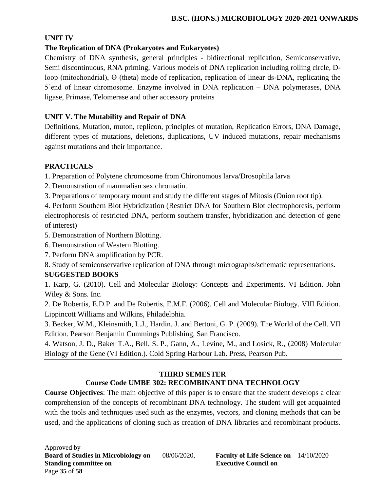# **UNIT IV**

# **The Replication of DNA (Prokaryotes and Eukaryotes)**

Chemistry of DNA synthesis, general principles - bidirectional replication, Semiconservative, Semi discontinuous, RNA priming, Various models of DNA replication including rolling circle, Dloop (mitochondrial), Ө (theta) mode of replication, replication of linear ds-DNA, replicating the 5'end of linear chromosome. Enzyme involved in DNA replication – DNA polymerases, DNA ligase, Primase, Telomerase and other accessory proteins

### **UNIT V. The Mutability and Repair of DNA**

Definitions, Mutation, muton, replicon, principles of mutation, Replication Errors, DNA Damage, different types of mutations, deletions, duplications, UV induced mutations, repair mechanisms against mutations and their importance.

# **PRACTICALS**

1. Preparation of Polytene chromosome from Chironomous larva/Drosophila larva

- 2. Demonstration of mammalian sex chromatin.
- 3. Preparations of temporary mount and study the different stages of Mitosis (Onion root tip).

4. Perform Southern Blot Hybridization (Restrict DNA for Southern Blot electrophoresis, perform electrophoresis of restricted DNA, perform southern transfer, hybridization and detection of gene of interest)

- 5. Demonstration of Northern Blotting.
- 6. Demonstration of Western Blotting.
- 7. Perform DNA amplification by PCR.

8. Study of semiconservative replication of DNA through micrographs/schematic representations.

#### **SUGGESTED BOOKS**

1. Karp, G. (2010). Cell and Molecular Biology: Concepts and Experiments. VI Edition. John Wiley & Sons. Inc.

2. De Robertis, E.D.P. and De Robertis, E.M.F. (2006). Cell and Molecular Biology. VIII Edition. Lippincott Williams and Wilkins, Philadelphia.

3. Becker, W.M., Kleinsmith, L.J., Hardin. J. and Bertoni, G. P. (2009). The World of the Cell. VII Edition. Pearson Benjamin Cummings Publishing, San Francisco.

4. Watson, J. D., Baker T.A., Bell, S. P., Gann, A., Levine, M., and Losick, R., (2008) Molecular Biology of the Gene (VI Edition.). Cold Spring Harbour Lab. Press, Pearson Pub.

# **THIRD SEMESTER**

# **Course Code UMBE 302: RECOMBINANT DNA TECHNOLOGY**

**Course Objectives**: The main objective of this paper is to ensure that the student develops a clear comprehension of the concepts of recombinant DNA technology. The student will get acquainted with the tools and techniques used such as the enzymes, vectors, and cloning methods that can be used, and the applications of cloning such as creation of DNA libraries and recombinant products.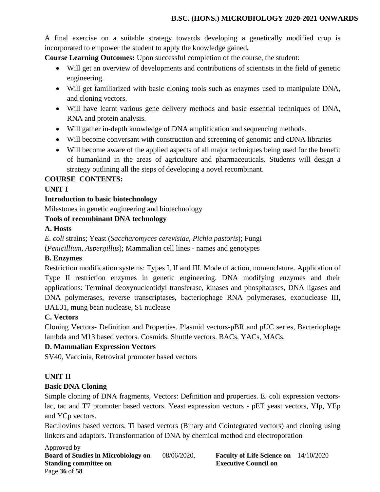A final exercise on a suitable strategy towards developing a genetically modified crop is incorporated to empower the student to apply the knowledge gained**.** 

**Course Learning Outcomes:** Upon successful completion of the course, the student:

- Will get an overview of developments and contributions of scientists in the field of genetic engineering.
- Will get familiarized with basic cloning tools such as enzymes used to manipulate DNA, and cloning vectors.
- Will have learnt various gene delivery methods and basic essential techniques of DNA, RNA and protein analysis.
- Will gather in-depth knowledge of DNA amplification and sequencing methods.
- Will become conversant with construction and screening of genomic and cDNA libraries
- Will become aware of the applied aspects of all major techniques being used for the benefit of humankind in the areas of agriculture and pharmaceuticals. Students will design a strategy outlining all the steps of developing a novel recombinant.

# **COURSE CONTENTS:**

# **UNIT I**

# **Introduction to basic biotechnology**

Milestones in genetic engineering and biotechnology

# **Tools of recombinant DNA technology**

# **A. Hosts**

*E. coli* strains; Yeast (*Saccharomyces cerevisiae, Pichia pastoris*); Fungi (*Penicillium, Aspergillus*); Mammalian cell lines - names and genotypes

# **B. Enzymes**

Restriction modification systems: Types I, II and III. Mode of action, nomenclature. Application of Type II restriction enzymes in genetic engineering. DNA modifying enzymes and their applications: Terminal deoxynucleotidyl transferase, kinases and phosphatases, DNA ligases and DNA polymerases, reverse transcriptases, bacteriophage RNA polymerases, exonuclease III, BAL31, mung bean nuclease, S1 nuclease

# **C. Vectors**

Cloning Vectors- Definition and Properties. Plasmid vectors-pBR and pUC series, Bacteriophage lambda and M13 based vectors. Cosmids. Shuttle vectors. BACs, YACs, MACs.

#### **D. Mammalian Expression Vectors**

SV40, Vaccinia, Retroviral promoter based vectors

#### **UNIT II**

# **Basic DNA Cloning**

Simple cloning of DNA fragments, Vectors: Definition and properties. E. coli expression vectorslac, tac and T7 promoter based vectors. Yeast expression vectors - pET yeast vectors, YIp, YEp and YCp vectors.

Baculovirus based vectors. Ti based vectors (Binary and Cointegrated vectors) and cloning using linkers and adaptors. Transformation of DNA by chemical method and electroporation

Approved by **Board of Studies in Microbiology on** 08/06/2020, **Faculty of Life Science on** 14/10/2020 **Standing committee on Executive Council on Algebra 2.5 Algebra 2.5 Algebra 2.5 Algebra 2.6 Algebra 2.6 Algebra 2.6 Algebra 2.6 Algebra 2.6 Algebra 2.6 Algebra 2.6 Algebra 2.6 Algebra 2.6 Algebra 2.6 Algebra 2.6 Algebra 2.** Page **36** of **58**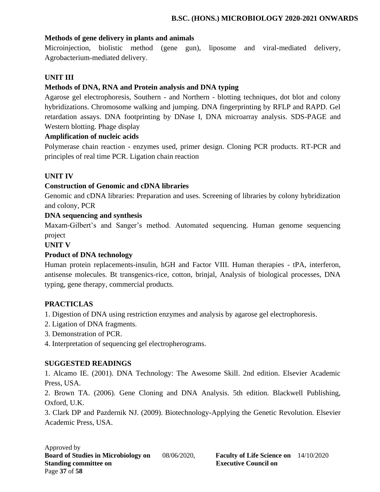#### **Methods of gene delivery in plants and animals**

Microinjection, biolistic method (gene gun), liposome and viral-mediated delivery, Agrobacterium-mediated delivery.

# **UNIT III**

# **Methods of DNA, RNA and Protein analysis and DNA typing**

Agarose gel electrophoresis, Southern - and Northern - blotting techniques, dot blot and colony hybridizations. Chromosome walking and jumping. DNA fingerprinting by RFLP and RAPD. Gel retardation assays. DNA footprinting by DNase I, DNA microarray analysis. SDS-PAGE and Western blotting. Phage display

# **Amplification of nucleic acids**

Polymerase chain reaction - enzymes used, primer design. Cloning PCR products. RT-PCR and principles of real time PCR. Ligation chain reaction

# **UNIT IV**

# **Construction of Genomic and cDNA libraries**

Genomic and cDNA libraries: Preparation and uses. Screening of libraries by colony hybridization and colony, PCR

#### **DNA sequencing and synthesis**

Maxam-Gilbert's and Sanger's method. Automated sequencing. Human genome sequencing project

**UNIT V**

# **Product of DNA technology**

Human protein replacements-insulin, hGH and Factor VIII. Human therapies - tPA, interferon, antisense molecules. Bt transgenics-rice, cotton, brinjal, Analysis of biological processes, DNA typing, gene therapy, commercial products.

# **PRACTICLAS**

1. Digestion of DNA using restriction enzymes and analysis by agarose gel electrophoresis.

- 2. Ligation of DNA fragments.
- 3. Demonstration of PCR.
- 4. Interpretation of sequencing gel electropherograms.

#### **SUGGESTED READINGS**

1. Alcamo IE. (2001). DNA Technology: The Awesome Skill. 2nd edition. Elsevier Academic Press, USA.

2. Brown TA. (2006). Gene Cloning and DNA Analysis. 5th edition. Blackwell Publishing, Oxford, U.K.

3. Clark DP and Pazdernik NJ. (2009). Biotechnology-Applying the Genetic Revolution. Elsevier Academic Press, USA.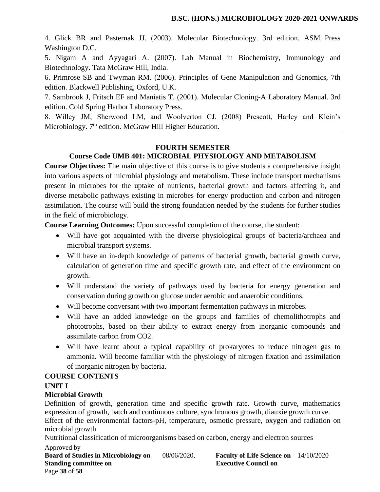4. Glick BR and Pasternak JJ. (2003). Molecular Biotechnology. 3rd edition. ASM Press Washington D.C.

5. Nigam A and Ayyagari A. (2007). Lab Manual in Biochemistry, Immunology and Biotechnology. Tata McGraw Hill, India.

6. Primrose SB and Twyman RM. (2006). Principles of Gene Manipulation and Genomics, 7th edition. Blackwell Publishing, Oxford, U.K.

7. Sambrook J, Fritsch EF and Maniatis T. (2001). Molecular Cloning-A Laboratory Manual. 3rd edition. Cold Spring Harbor Laboratory Press.

8. Willey JM, Sherwood LM, and Woolverton CJ. (2008) Prescott, Harley and Klein's Microbiology. 7<sup>th</sup> edition. McGraw Hill Higher Education.

#### **FOURTH SEMESTER**

# **Course Code UMB 401: MICROBIAL PHYSIOLOGY AND METABOLISM**

**Course Objectives:** The main objective of this course is to give students a comprehensive insight into various aspects of microbial physiology and metabolism. These include transport mechanisms present in microbes for the uptake of nutrients, bacterial growth and factors affecting it, and diverse metabolic pathways existing in microbes for energy production and carbon and nitrogen assimilation. The course will build the strong foundation needed by the students for further studies in the field of microbiology.

**Course Learning Outcomes:** Upon successful completion of the course, the student:

- Will have got acquainted with the diverse physiological groups of bacteria/archaea and microbial transport systems.
- Will have an in-depth knowledge of patterns of bacterial growth, bacterial growth curve, calculation of generation time and specific growth rate, and effect of the environment on growth.
- Will understand the variety of pathways used by bacteria for energy generation and conservation during growth on glucose under aerobic and anaerobic conditions.
- Will become conversant with two important fermentation pathways in microbes.
- Will have an added knowledge on the groups and families of chemolithotrophs and phototrophs, based on their ability to extract energy from inorganic compounds and assimilate carbon from CO2.
- Will have learnt about a typical capability of prokaryotes to reduce nitrogen gas to ammonia. Will become familiar with the physiology of nitrogen fixation and assimilation of inorganic nitrogen by bacteria.

#### **COURSE CONTENTS**

#### **UNIT I**

#### **Microbial Growth**

Definition of growth, generation time and specific growth rate. Growth curve, mathematics expression of growth, batch and continuous culture, synchronous growth, diauxie growth curve.

Effect of the environmental factors-pH, temperature, osmotic pressure, oxygen and radiation on microbial growth

Nutritional classification of microorganisms based on carbon, energy and electron sources

Approved by **Board of Studies in Microbiology on** 08/06/2020, **Faculty of Life Science on** 14/10/2020 **Standing committee on Executive Council on Algebra 2.5 Algebra 2.5 Algebra 2.5 Algebra 2.6 Algebra 2.6 Algebra 2.6 Algebra 2.6 Algebra 2.6 Algebra 2.6 Algebra 2.6 Algebra 2.6 Algebra 2.6 Algebra 2.6 Algebra 2.6 Algebra 2.** Page **38** of **58**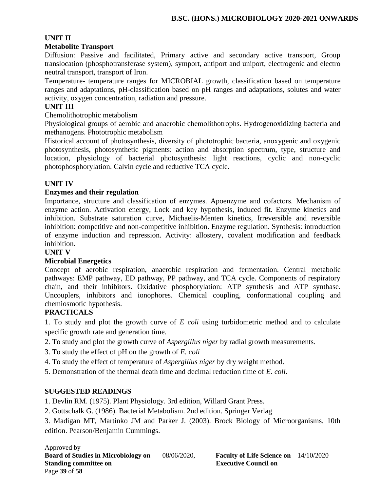# **UNIT II**

#### **Metabolite Transport**

Diffusion: Passive and facilitated, Primary active and secondary active transport, Group translocation (phosphotransferase system), symport, antiport and uniport, electrogenic and electro neutral transport, transport of Iron.

Temperature- temperature ranges for MICROBIAL growth, classification based on temperature ranges and adaptations, pH-classification based on pH ranges and adaptations, solutes and water activity, oxygen concentration, radiation and pressure.

#### **UNIT III**

Chemolithotrophic metabolism

Physiological groups of aerobic and anaerobic chemolithotrophs. Hydrogenoxidizing bacteria and methanogens. Phototrophic metabolism

Historical account of photosynthesis, diversity of phototrophic bacteria, anoxygenic and oxygenic photosynthesis, photosynthetic pigments: action and absorption spectrum, type, structure and location, physiology of bacterial photosynthesis: light reactions, cyclic and non-cyclic photophosphorylation. Calvin cycle and reductive TCA cycle.

# **UNIT IV**

#### **Enzymes and their regulation**

Importance, structure and classification of enzymes. Apoenzyme and cofactors. Mechanism of enzyme action. Activation energy, Lock and key hypothesis, induced fit. Enzyme kinetics and inhibition. Substrate saturation curve, Michaelis-Menten kinetics, Irreversible and reversible inhibition: competitive and non-competitive inhibition. Enzyme regulation. Synthesis: introduction of enzyme induction and repression. Activity: allostery, covalent modification and feedback inhibition.

#### **UNIT V**

#### **Microbial Energetics**

Concept of aerobic respiration, anaerobic respiration and fermentation. Central metabolic pathways: EMP pathway, ED pathway, PP pathway, and TCA cycle. Components of respiratory chain, and their inhibitors. Oxidative phosphorylation: ATP synthesis and ATP synthase. Uncouplers, inhibitors and ionophores. Chemical coupling, conformational coupling and chemiosmotic hypothesis.

#### **PRACTICALS**

1. To study and plot the growth curve of *E coli* using turbidometric method and to calculate specific growth rate and generation time.

- 2. To study and plot the growth curve of *Aspergillus niger* by radial growth measurements.
- 3. To study the effect of pH on the growth of *E. coli*
- 4. To study the effect of temperature of *Aspergillus niger* by dry weight method.
- 5. Demonstration of the thermal death time and decimal reduction time of *E. coli*.

#### **SUGGESTED READINGS**

1. Devlin RM. (1975). Plant Physiology. 3rd edition, Willard Grant Press.

2. Gottschalk G. (1986). Bacterial Metabolism. 2nd edition. Springer Verlag

3. Madigan MT, Martinko JM and Parker J. (2003). Brock Biology of Microorganisms. 10th edition. Pearson/Benjamin Cummings.

Approved by **Board of Studies in Microbiology on** 08/06/2020, **Faculty of Life Science on** 14/10/2020 **Standing committee on Executive Council on Algebra** Page **39** of **58**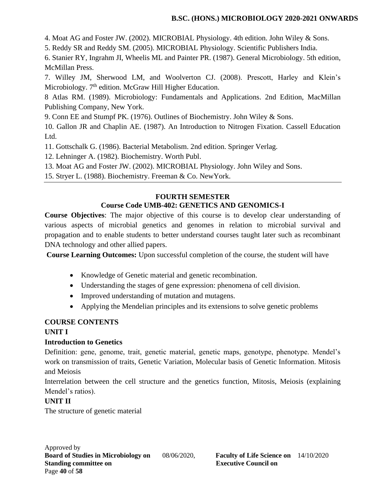4. Moat AG and Foster JW. (2002). MICROBIAL Physiology. 4th edition. John Wiley & Sons.

5. Reddy SR and Reddy SM. (2005). MICROBIAL Physiology. Scientific Publishers India.

6. Stanier RY, Ingrahm JI, Wheelis ML and Painter PR. (1987). General Microbiology. 5th edition, McMillan Press.

7. Willey JM, Sherwood LM, and Woolverton CJ. (2008). Prescott, Harley and Klein's Microbiology. 7<sup>th</sup> edition. McGraw Hill Higher Education.

8 Atlas RM. (1989). Microbiology: Fundamentals and Applications. 2nd Edition, MacMillan Publishing Company, New York.

9. Conn EE and Stumpf PK. (1976). Outlines of Biochemistry. John Wiley & Sons.

10. Gallon JR and Chaplin AE. (1987). An Introduction to Nitrogen Fixation. Cassell Education Ltd.

11. Gottschalk G. (1986). Bacterial Metabolism. 2nd edition. Springer Verlag.

12. Lehninger A. (1982). Biochemistry. Worth Publ.

13. Moat AG and Foster JW. (2002). MICROBIAL Physiology. John Wiley and Sons.

15. Stryer L. (1988). Biochemistry. Freeman & Co. NewYork.

# **FOURTH SEMESTER Course Code UMB-402: GENETICS AND GENOMICS-I**

**Course Objectives**: The major objective of this course is to develop clear understanding of various aspects of microbial genetics and genomes in relation to microbial survival and propagation and to enable students to better understand courses taught later such as recombinant DNA technology and other allied papers.

**Course Learning Outcomes:** Upon successful completion of the course, the student will have

- Knowledge of Genetic material and genetic recombination.
- Understanding the stages of gene expression: phenomena of cell division.
- Improved understanding of mutation and mutagens.
- Applying the Mendelian principles and its extensions to solve genetic problems

# **COURSE CONTENTS**

# **UNIT I**

# **Introduction to Genetics**

Definition: gene, genome, trait, genetic material, genetic maps, genotype, phenotype. Mendel's work on transmission of traits, Genetic Variation, Molecular basis of Genetic Information. Mitosis and Meiosis

Interrelation between the cell structure and the genetics function, Mitosis, Meiosis (explaining Mendel's ratios).

# **UNIT II**

The structure of genetic material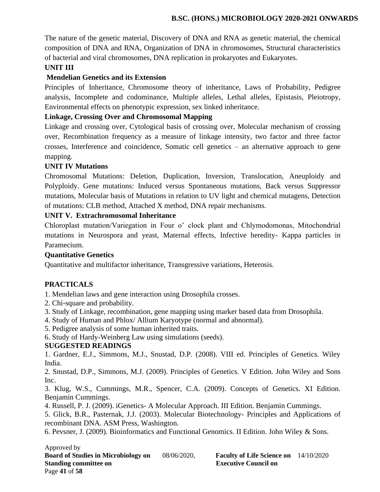The nature of the genetic material, Discovery of DNA and RNA as genetic material, the chemical composition of DNA and RNA, Organization of DNA in chromosomes, Structural characteristics of bacterial and viral chromosomes, DNA replication in prokaryotes and Eukaryotes.

# **UNIT III**

# **Mendelian Genetics and its Extension**

Principles of Inheritance, Chromosome theory of inheritance, Laws of Probability, Pedigree analysis, Incomplete and codominance, Multiple alleles, Lethal alleles, Epistasis, Pleiotropy, Environmental effects on phenotypic expression, sex linked inheritance.

### **Linkage, Crossing Over and Chromosomal Mapping**

Linkage and crossing over, Cytological basis of crossing over, Molecular mechanism of crossing over, Recombination frequency as a measure of linkage intensity, two factor and three factor crosses, Interference and coincidence, Somatic cell genetics – an alternative approach to gene mapping.

#### **UNIT IV Mutations**

Chromosomal Mutations: Deletion, Duplication, Inversion, Translocation, Aneuploidy and Polyploidy. Gene mutations: Induced versus Spontaneous mutations, Back versus Suppressor mutations, Molecular basis of Mutations in relation to UV light and chemical mutagens, Detection of mutations: CLB method, Attached X method, DNA repair mechanisms.

# **UNIT V. Extrachromosomal Inheritance**

Chloroplast mutation/Variegation in Four o' clock plant and Chlymodomonas, Mitochondrial mutations in Neurospora and yeast, Maternal effects, Infective heredity- Kappa particles in Paramecium.

#### **Quantitative Genetics**

Quantitative and multifactor inheritance, Transgressive variations, Heterosis.

# **PRACTICALS**

- 1. Mendelian laws and gene interaction using Drosophila crosses.
- 2. Chi-square and probability.
- 3. Study of Linkage, recombination, gene mapping using marker based data from Drosophila.
- 4. Study of Human and Phlox/ Allium Karyotype (normal and abnormal).
- 5. Pedigree analysis of some human inherited traits.
- 6. Study of Hardy-Weinberg Law using simulations (seeds).

#### **SUGGESTED READINGS**

1. Gardner, E.J., Simmons, M.J., Snustad, D.P. (2008). VIII ed. Principles of Genetics. Wiley India.

2. Snustad, D.P., Simmons, M.J. (2009). Principles of Genetics. V Edition. John Wiley and Sons Inc.

3. Klug, W.S., Cummings, M.R., Spencer, C.A. (2009). Concepts of Genetics. XI Edition. Benjamin Cummings.

4. Russell, P. J. (2009). iGenetics- A Molecular Approach. III Edition. Benjamin Cummings.

5. Glick, B.R., Pasternak, J.J. (2003). Molecular Biotechnology- Principles and Applications of recombinant DNA. ASM Press, Washington.

6. Pevsner, J. (2009). Bioinformatics and Functional Genomics. II Edition. John Wiley & Sons.

#### Approved by

**Board of Studies in Microbiology on** 08/06/2020, **Faculty of Life Science on** 14/10/2020 **Standing committee on Executive Council on Algebra** Page **41** of **58**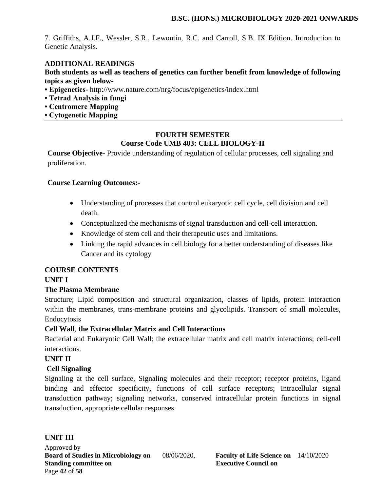7. Griffiths, A.J.F., Wessler, S.R., Lewontin, R.C. and Carroll, S.B. IX Edition. Introduction to Genetic Analysis.

### **ADDITIONAL READINGS**

**Both students as well as teachers of genetics can further benefit from knowledge of following topics as given below-**

- **Epigenetics-** <http://www.nature.com/nrg/focus/epigenetics/index.html>
- **Tetrad Analysis in fungi**
- **Centromere Mapping**
- **Cytogenetic Mapping**

### **FOURTH SEMESTER Course Code UMB 403: CELL BIOLOGY-II**

**Course Objective-** Provide understanding of regulation of cellular processes, cell signaling and proliferation.

# **Course Learning Outcomes:-**

- Understanding of processes that control eukaryotic cell cycle, cell division and cell death.
- Conceptualized the mechanisms of signal transduction and cell-cell interaction.
- Knowledge of stem cell and their therapeutic uses and limitations.
- Linking the rapid advances in cell biology for a better understanding of diseases like Cancer and its cytology

#### **COURSE CONTENTS**

# **UNIT I**

# **The Plasma Membrane**

Structure; Lipid composition and structural organization, classes of lipids, protein interaction within the membranes, trans-membrane proteins and glycolipids. Transport of small molecules, Endocytosis

# **Cell Wall**, **the Extracellular Matrix and Cell Interactions**

Bacterial and Eukaryotic Cell Wall; the extracellular matrix and cell matrix interactions; cell-cell interactions.

#### **UNIT II**

# **Cell Signaling**

Signaling at the cell surface, Signaling molecules and their receptor; receptor proteins, ligand binding and effector specificity, functions of cell surface receptors; Intracellular signal transduction pathway; signaling networks, conserved intracellular protein functions in signal transduction, appropriate cellular responses.

#### **UNIT III**

Approved by **Board of Studies in Microbiology on** 08/06/2020, **Faculty of Life Science on** 14/10/2020 **Standing committee on Executive Council on Algebra** Page **42** of **58**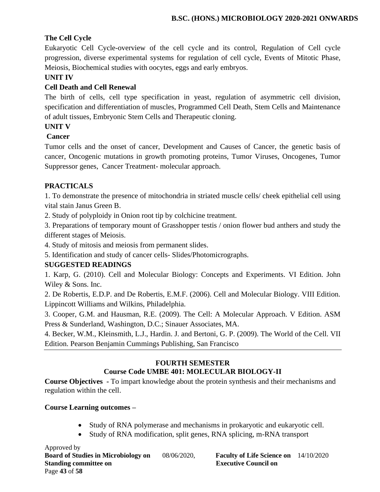# **The Cell Cycle**

Eukaryotic Cell Cycle-overview of the cell cycle and its control, Regulation of Cell cycle progression, diverse experimental systems for regulation of cell cycle, Events of Mitotic Phase, Meiosis, Biochemical studies with oocytes, eggs and early embryos.

# **UNIT IV**

# **Cell Death and Cell Renewal**

The birth of cells, cell type specification in yeast, regulation of asymmetric cell division, specification and differentiation of muscles, Programmed Cell Death, Stem Cells and Maintenance of adult tissues, Embryonic Stem Cells and Therapeutic cloning.

# **UNIT V**

# **Cancer**

Tumor cells and the onset of cancer, Development and Causes of Cancer, the genetic basis of cancer, Oncogenic mutations in growth promoting proteins, Tumor Viruses, Oncogenes, Tumor Suppressor genes, Cancer Treatment- molecular approach.

# **PRACTICALS**

1. To demonstrate the presence of mitochondria in striated muscle cells/ cheek epithelial cell using vital stain Janus Green B.

2. Study of polyploidy in Onion root tip by colchicine treatment.

3. Preparations of temporary mount of Grasshopper testis / onion flower bud anthers and study the different stages of Meiosis.

4. Study of mitosis and meiosis from permanent slides.

5. Identification and study of cancer cells- Slides/Photomicrographs.

# **SUGGESTED READINGS**

1. Karp, G. (2010). Cell and Molecular Biology: Concepts and Experiments. VI Edition. John Wiley & Sons. Inc.

2. De Robertis, E.D.P. and De Robertis, E.M.F. (2006). Cell and Molecular Biology. VIII Edition. Lippincott Williams and Wilkins, Philadelphia.

3. Cooper, G.M. and Hausman, R.E. (2009). The Cell: A Molecular Approach. V Edition. ASM Press & Sunderland, Washington, D.C.; Sinauer Associates, MA.

4. Becker, W.M., Kleinsmith, L.J., Hardin. J. and Bertoni, G. P. (2009). The World of the Cell. VII Edition. Pearson Benjamin Cummings Publishing, San Francisco

#### **FOURTH SEMESTER Course Code UMBE 401: MOLECULAR BIOLOGY-II**

**Course Objectives -** To impart knowledge about the protein synthesis and their mechanisms and regulation within the cell.

# **Course Learning outcomes –**

- Study of RNA polymerase and mechanisms in prokaryotic and eukaryotic cell.
- Study of RNA modification, split genes, RNA splicing, m-RNA transport

Approved by **Board of Studies in Microbiology on** 08/06/2020, **Faculty of Life Science on** 14/10/2020 **Standing committee on Executive Council on Algebra 2.5 Algebra 2.5 Algebra 2.5 Algebra 2.6 Algebra 2.6 Algebra 2.6 Algebra 2.6 Algebra 2.6 Algebra 2.6 Algebra 2.6 Algebra 2.6 Algebra 2.6 Algebra 2.6 Algebra 2.6 Algebra 2.** Page **43** of **58**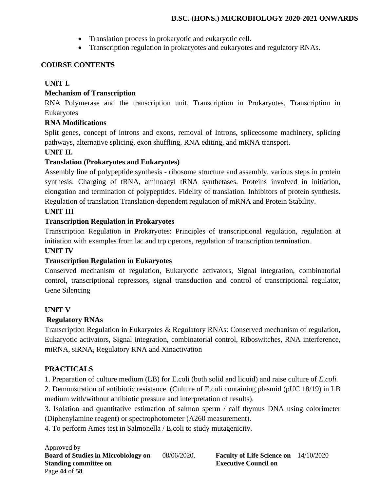- Translation process in prokaryotic and eukaryotic cell.
- Transcription regulation in prokaryotes and eukaryotes and regulatory RNAs.

# **COURSE CONTENTS**

# **UNIT I.**

# **Mechanism of Transcription**

RNA Polymerase and the transcription unit, Transcription in Prokaryotes, Transcription in Eukaryotes

# **RNA Modifications**

Split genes, concept of introns and exons, removal of Introns, spliceosome machinery, splicing pathways, alternative splicing, exon shuffling, RNA editing, and mRNA transport.

# **UNIT II.**

# **Translation (Prokaryotes and Eukaryotes)**

Assembly line of polypeptide synthesis - ribosome structure and assembly, various steps in protein synthesis. Charging of tRNA, aminoacyl tRNA synthetases. Proteins involved in initiation, elongation and termination of polypeptides. Fidelity of translation. Inhibitors of protein synthesis. Regulation of translation Translation-dependent regulation of mRNA and Protein Stability.

# **UNIT III**

# **Transcription Regulation in Prokaryotes**

Transcription Regulation in Prokaryotes: Principles of transcriptional regulation, regulation at initiation with examples from lac and trp operons, regulation of transcription termination.

# **UNIT IV**

# **Transcription Regulation in Eukaryotes**

Conserved mechanism of regulation, Eukaryotic activators, Signal integration, combinatorial control, transcriptional repressors, signal transduction and control of transcriptional regulator, Gene Silencing

# **UNIT V**

# **Regulatory RNAs**

Transcription Regulation in Eukaryotes & Regulatory RNAs: Conserved mechanism of regulation, Eukaryotic activators, Signal integration, combinatorial control, Riboswitches, RNA interference, miRNA, siRNA, Regulatory RNA and Xinactivation

# **PRACTICALS**

1. Preparation of culture medium (LB) for E.coli (both solid and liquid) and raise culture of *E.coli.*

2. Demonstration of antibiotic resistance. (Culture of E.coli containing plasmid (pUC 18/19) in LB medium with/without antibiotic pressure and interpretation of results).

3. Isolation and quantitative estimation of salmon sperm / calf thymus DNA using colorimeter (Diphenylamine reagent) or spectrophotometer (A260 measurement).

4. To perform Ames test in Salmonella / E.coli to study mutagenicity.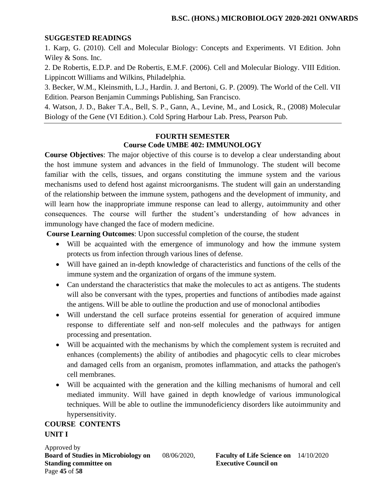#### **SUGGESTED READINGS**

1. Karp, G. (2010). Cell and Molecular Biology: Concepts and Experiments. VI Edition. John Wiley & Sons. Inc.

2. De Robertis, E.D.P. and De Robertis, E.M.F. (2006). Cell and Molecular Biology. VIII Edition. Lippincott Williams and Wilkins, Philadelphia.

3. Becker, W.M., Kleinsmith, L.J., Hardin. J. and Bertoni, G. P. (2009). The World of the Cell. VII Edition. Pearson Benjamin Cummings Publishing, San Francisco.

4. Watson, J. D., Baker T.A., Bell, S. P., Gann, A., Levine, M., and Losick, R., (2008) Molecular Biology of the Gene (VI Edition.). Cold Spring Harbour Lab. Press, Pearson Pub.

#### **FOURTH SEMESTER Course Code UMBE 402: IMMUNOLOGY**

**Course Objectives**: The major objective of this course is to develop a clear understanding about the host immune system and advances in the field of Immunology. The student will become familiar with the cells, tissues, and organs constituting the immune system and the various mechanisms used to defend host against microorganisms. The student will gain an understanding of the relationship between the immune system, pathogens and the development of immunity, and will learn how the inappropriate immune response can lead to allergy, autoimmunity and other consequences. The course will further the student's understanding of how advances in immunology have changed the face of modern medicine.

**Course Learning Outcomes**: Upon successful completion of the course, the student

- Will be acquainted with the emergence of immunology and how the immune system protects us from infection through various lines of defense.
- Will have gained an in-depth knowledge of characteristics and functions of the cells of the immune system and the organization of organs of the immune system.
- Can understand the characteristics that make the molecules to act as antigens. The students will also be conversant with the types, properties and functions of antibodies made against the antigens. Will be able to outline the production and use of monoclonal antibodies
- Will understand the cell surface proteins essential for generation of acquired immune response to differentiate self and non-self molecules and the pathways for antigen processing and presentation.
- Will be acquainted with the mechanisms by which the complement system is recruited and enhances (complements) the ability of antibodies and phagocytic cells to clear microbes and damaged cells from an organism, promotes inflammation, and attacks the pathogen's cell membranes.
- Will be acquainted with the generation and the killing mechanisms of humoral and cell mediated immunity. Will have gained in depth knowledge of various immunological techniques. Will be able to outline the immunodeficiency disorders like autoimmunity and hypersensitivity.

# **COURSE CONTENTS UNIT I**

Approved by **Board of Studies in Microbiology on** 08/06/2020, **Faculty of Life Science on** 14/10/2020 **Standing committee on Executive Council on Algebra 2.5 Algebra 2.5 Algebra 2.5 Algebra 2.6 Algebra 2.6 Algebra 2.6 Algebra 2.6 Algebra 2.6 Algebra 2.6 Algebra 2.6 Algebra 2.6 Algebra 2.6 Algebra 2.6 Algebra 2.6 Algebra 2.** Page **45** of **58**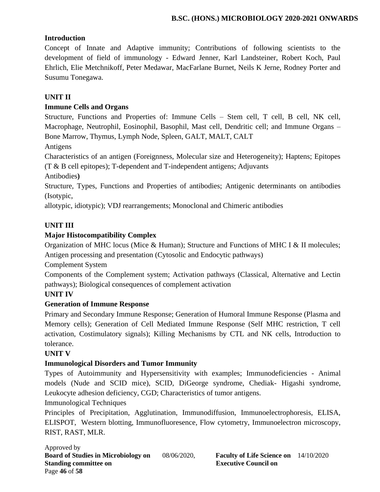# **Introduction**

Concept of Innate and Adaptive immunity; Contributions of following scientists to the development of field of immunology - Edward Jenner, Karl Landsteiner, Robert Koch, Paul Ehrlich, Elie Metchnikoff, Peter Medawar, MacFarlane Burnet, Neils K Jerne, Rodney Porter and Susumu Tonegawa.

# **UNIT II**

# **Immune Cells and Organs**

Structure, Functions and Properties of: Immune Cells – Stem cell, T cell, B cell, NK cell, Macrophage, Neutrophil, Eosinophil, Basophil, Mast cell, Dendritic cell; and Immune Organs – Bone Marrow, Thymus, Lymph Node, Spleen, GALT, MALT, CALT

Antigens

Characteristics of an antigen (Foreignness, Molecular size and Heterogeneity); Haptens; Epitopes (T & B cell epitopes); T-dependent and T-independent antigens; Adjuvants

Antibodies**)**

Structure, Types, Functions and Properties of antibodies; Antigenic determinants on antibodies (Isotypic,

allotypic, idiotypic); VDJ rearrangements; Monoclonal and Chimeric antibodies

# **UNIT III**

# **Major Histocompatibility Complex**

Organization of MHC locus (Mice & Human); Structure and Functions of MHC I & II molecules; Antigen processing and presentation (Cytosolic and Endocytic pathways)

Complement System

Components of the Complement system; Activation pathways (Classical, Alternative and Lectin pathways); Biological consequences of complement activation

# **UNIT IV**

# **Generation of Immune Response**

Primary and Secondary Immune Response; Generation of Humoral Immune Response (Plasma and Memory cells); Generation of Cell Mediated Immune Response (Self MHC restriction, T cell activation, Costimulatory signals); Killing Mechanisms by CTL and NK cells, Introduction to tolerance.

#### **UNIT V**

# **Immunological Disorders and Tumor Immunity**

Types of Autoimmunity and Hypersensitivity with examples; Immunodeficiencies - Animal models (Nude and SCID mice), SCID, DiGeorge syndrome, Chediak- Higashi syndrome, Leukocyte adhesion deficiency, CGD; Characteristics of tumor antigens.

Immunological Techniques

Principles of Precipitation, Agglutination, Immunodiffusion, Immunoelectrophoresis, ELISA, ELISPOT, Western blotting, Immunofluoresence, Flow cytometry, Immunoelectron microscopy, RIST, RAST, MLR.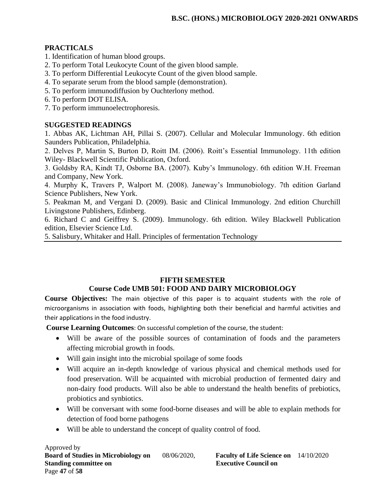# **PRACTICALS**

- 1. Identification of human blood groups.
- 2. To perform Total Leukocyte Count of the given blood sample.
- 3. To perform Differential Leukocyte Count of the given blood sample.
- 4. To separate serum from the blood sample (demonstration).
- 5. To perform immunodiffusion by Ouchterlony method.
- 6. To perform DOT ELISA.
- 7. To perform immunoelectrophoresis.

# **SUGGESTED READINGS**

1. Abbas AK, Lichtman AH, Pillai S. (2007). Cellular and Molecular Immunology. 6th edition Saunders Publication, Philadelphia.

2. Delves P, Martin S, Burton D, Roitt IM. (2006). Roitt's Essential Immunology. 11th edition Wiley- Blackwell Scientific Publication, Oxford.

3. Goldsby RA, Kindt TJ, Osborne BA. (2007). Kuby's Immunology. 6th edition W.H. Freeman and Company, New York.

4. Murphy K, Travers P, Walport M. (2008). Janeway's Immunobiology. 7th edition Garland Science Publishers, New York.

5. Peakman M, and Vergani D. (2009). Basic and Clinical Immunology. 2nd edition Churchill Livingstone Publishers, Edinberg.

6. Richard C and Geiffrey S. (2009). Immunology. 6th edition. Wiley Blackwell Publication edition, Elsevier Science Ltd.

5. Salisbury, Whitaker and Hall. Principles of fermentation Technology

# **FIFTH SEMESTER Course Code UMB 501: FOOD AND DAIRY MICROBIOLOGY**

**Course Objectives:** The main objective of this paper is to acquaint students with the role of microorganisms in association with foods, highlighting both their beneficial and harmful activities and their applications in the food industry.

**Course Learning Outcomes**: On successful completion of the course, the student:

- Will be aware of the possible sources of contamination of foods and the parameters affecting microbial growth in foods.
- Will gain insight into the microbial spoilage of some foods
- Will acquire an in-depth knowledge of various physical and chemical methods used for food preservation. Will be acquainted with microbial production of fermented dairy and non-dairy food products. Will also be able to understand the health benefits of prebiotics, probiotics and synbiotics.
- Will be conversant with some food-borne diseases and will be able to explain methods for detection of food borne pathogens
- Will be able to understand the concept of quality control of food.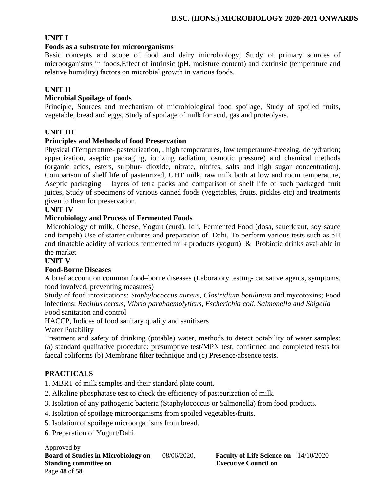# **UNIT I**

#### **Foods as a substrate for microorganisms**

Basic concepts and scope of food and dairy microbiology, Study of primary sources of microorganisms in foods,Effect of intrinsic (pH, moisture content) and extrinsic (temperature and relative humidity) factors on microbial growth in various foods.

#### **UNIT II**

#### **Microbial Spoilage of foods**

Principle, Sources and mechanism of microbiological food spoilage, Study of spoiled fruits, vegetable, bread and eggs, Study of spoilage of milk for acid, gas and proteolysis.

#### **UNIT III**

#### **Principles and Methods of food Preservation**

Physical (Temperature- pasteurization, , high temperatures, low temperature-freezing, dehydration; appertization, aseptic packaging, ionizing radiation, osmotic pressure) and chemical methods (organic acids, esters, sulphur- dioxide, nitrate, nitrites, salts and high sugar concentration). Comparison of shelf life of pasteurized, UHT milk, raw milk both at low and room temperature, Aseptic packaging – layers of tetra packs and comparison of shelf life of such packaged fruit juices, Study of specimens of various canned foods (vegetables, fruits, pickles etc) and treatments given to them for preservation.

#### **UNIT IV**

#### **Microbiology and Process of Fermented Foods**

Microbiology of milk, Cheese, Yogurt (curd), Idli, Fermented Food (dosa, sauerkraut, soy sauce and tampeh) Use of starter cultures and preparation of Dahi, To perform various tests such as pH and titratable acidity of various fermented milk products (yogurt) & Probiotic drinks available in the market

#### **UNIT V**

#### **Food-Borne Diseases**

A brief account on common food–borne diseases (Laboratory testing- causative agents, symptoms, food involved, preventing measures)

Study of food intoxications: *Staphylococcus aureus, Clostridium botulinum* and mycotoxins; Food infections: *Bacillus cereus, Vibrio parahaemolyticus, Escherichia coli, Salmonella and Shigella* Food sanitation and control

HACCP, Indices of food sanitary quality and sanitizers

Water Potability

Treatment and safety of drinking (potable) water, methods to detect potability of water samples: (a) standard qualitative procedure: presumptive test/MPN test, confirmed and completed tests for faecal coliforms (b) Membrane filter technique and (c) Presence/absence tests.

#### **PRACTICALS**

1. MBRT of milk samples and their standard plate count.

- 2. Alkaline phosphatase test to check the efficiency of pasteurization of milk.
- 3. Isolation of any pathogenic bacteria (Staphylococcus or Salmonella) from food products.
- 4. Isolation of spoilage microorganisms from spoiled vegetables/fruits.
- 5. Isolation of spoilage microorganisms from bread.
- 6. Preparation of Yogurt/Dahi.

Approved by **Board of Studies in Microbiology on** 08/06/2020, **Faculty of Life Science on** 14/10/2020 **Standing committee on Executive Council on Algebra** Page **48** of **58**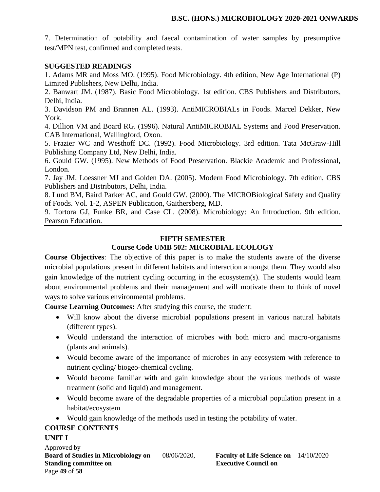7. Determination of potability and faecal contamination of water samples by presumptive test/MPN test, confirmed and completed tests.

#### **SUGGESTED READINGS**

1. Adams MR and Moss MO. (1995). Food Microbiology. 4th edition, New Age International (P) Limited Publishers, New Delhi, India.

2. Banwart JM. (1987). Basic Food Microbiology. 1st edition. CBS Publishers and Distributors, Delhi, India.

3. Davidson PM and Brannen AL. (1993). AntiMICROBIALs in Foods. Marcel Dekker, New York.

4. Dillion VM and Board RG. (1996). Natural AntiMICROBIAL Systems and Food Preservation. CAB International, Wallingford, Oxon.

5. Frazier WC and Westhoff DC. (1992). Food Microbiology. 3rd edition. Tata McGraw-Hill Publishing Company Ltd, New Delhi, India.

6. Gould GW. (1995). New Methods of Food Preservation. Blackie Academic and Professional, London.

7. Jay JM, Loessner MJ and Golden DA. (2005). Modern Food Microbiology. 7th edition, CBS Publishers and Distributors, Delhi, India.

8. Lund BM, Baird Parker AC, and Gould GW. (2000). The MICROBiological Safety and Quality of Foods. Vol. 1-2, ASPEN Publication, Gaithersberg, MD.

9. Tortora GJ, Funke BR, and Case CL. (2008). Microbiology: An Introduction. 9th edition. Pearson Education.

#### **FIFTH SEMESTER**

# **Course Code UMB 502: MICROBIAL ECOLOGY**

**Course Objectives**: The objective of this paper is to make the students aware of the diverse microbial populations present in different habitats and interaction amongst them. They would also gain knowledge of the nutrient cycling occurring in the ecosystem(s). The students would learn about environmental problems and their management and will motivate them to think of novel ways to solve various environmental problems.

**Course Learning Outcomes:** After studying this course, the student:

- Will know about the diverse microbial populations present in various natural habitats (different types).
- Would understand the interaction of microbes with both micro and macro-organisms (plants and animals).
- Would become aware of the importance of microbes in any ecosystem with reference to nutrient cycling/ biogeo-chemical cycling.
- Would become familiar with and gain knowledge about the various methods of waste treatment (solid and liquid) and management.
- Would become aware of the degradable properties of a microbial population present in a habitat/ecosystem
- Would gain knowledge of the methods used in testing the potability of water.

#### **COURSE CONTENTS**

#### **UNIT I**

Approved by **Board of Studies in Microbiology on** 08/06/2020, **Faculty of Life Science on** 14/10/2020 **Standing committee on Executive Council on Algebra** Page **49** of **58**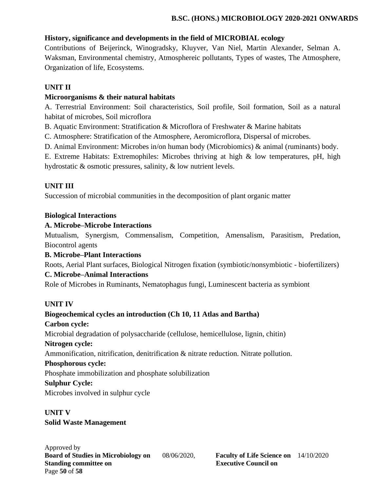# **History, significance and developments in the field of MICROBIAL ecology**

Contributions of Beijerinck, Winogradsky, Kluyver, Van Niel, Martin Alexander, Selman A. Waksman, Environmental chemistry, Atmosphereic pollutants, Types of wastes, The Atmosphere, Organization of life, Ecosystems.

# **UNIT II**

# **Microorganisms & their natural habitats**

A. Terrestrial Environment: Soil characteristics, Soil profile, Soil formation, Soil as a natural habitat of microbes, Soil microflora

B. Aquatic Environment: Stratification & Microflora of Freshwater & Marine habitats

C. Atmosphere: Stratification of the Atmosphere, Aeromicroflora, Dispersal of microbes.

D. Animal Environment: Microbes in/on human body (Microbiomics) & animal (ruminants) body.

E. Extreme Habitats: Extremophiles: Microbes thriving at high & low temperatures, pH, high hydrostatic & osmotic pressures, salinity, & low nutrient levels.

# **UNIT III**

Succession of microbial communities in the decomposition of plant organic matter

#### **Biological Interactions**

#### **A. Microbe–Microbe Interactions**

Mutualism, Synergism, Commensalism, Competition, Amensalism, Parasitism, Predation, Biocontrol agents

#### **B. Microbe–Plant Interactions**

Roots, Aerial Plant surfaces, Biological Nitrogen fixation (symbiotic/nonsymbiotic - biofertilizers) **C. Microbe–Animal Interactions** 

Role of Microbes in Ruminants, Nematophagus fungi, Luminescent bacteria as symbiont

# **UNIT IV**

**Biogeochemical cycles an introduction (Ch 10, 11 Atlas and Bartha) Carbon cycle:**  Microbial degradation of polysaccharide (cellulose, hemicellulose, lignin, chitin) **Nitrogen cycle:**  Ammonification, nitrification, denitrification & nitrate reduction. Nitrate pollution. **Phosphorous cycle:**  Phosphate immobilization and phosphate solubilization **Sulphur Cycle:**  Microbes involved in sulphur cycle

# **UNIT V**

#### **Solid Waste Management**

Approved by **Board of Studies in Microbiology on** 08/06/2020, **Faculty of Life Science on** 14/10/2020 **Standing committee on Executive Council on Algebra 2.5 Algebra 2.5 Algebra 2.5 Algebra 2.6 Algebra 2.6 Algebra 2.6 Algebra 2.6 Algebra 2.6 Algebra 2.6 Algebra 2.6 Algebra 2.6 Algebra 2.6 Algebra 2.6 Algebra 2.6 Algebra 2.** Page **50** of **58**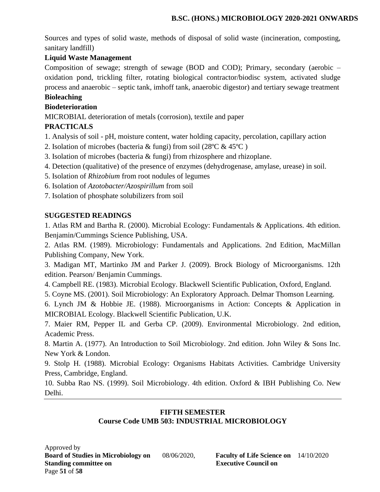Sources and types of solid waste, methods of disposal of solid waste (incineration, composting, sanitary landfill)

# **Liquid Waste Management**

Composition of sewage; strength of sewage (BOD and COD); Primary, secondary (aerobic – oxidation pond, trickling filter, rotating biological contractor/biodisc system, activated sludge process and anaerobic – septic tank, imhoff tank, anaerobic digestor) and tertiary sewage treatment

# **Bioleaching**

# **Biodeterioration**

MICROBIAL deterioration of metals (corrosion), textile and paper

# **PRACTICALS**

1. Analysis of soil - pH, moisture content, water holding capacity, percolation, capillary action

- 2. Isolation of microbes (bacteria & fungi) from soil (28ºC & 45ºC )
- 3. Isolation of microbes (bacteria & fungi) from rhizosphere and rhizoplane.
- 4. Detection (qualitative) of the presence of enzymes (dehydrogenase, amylase, urease) in soil.
- 5. Isolation of *Rhizobium* from root nodules of legumes
- 6. Isolation of *Azotobacter/Azospirillum* from soil
- 7. Isolation of phosphate solubilizers from soil

# **SUGGESTED READINGS**

1. Atlas RM and Bartha R. (2000). Microbial Ecology: Fundamentals & Applications. 4th edition. Benjamin/Cummings Science Publishing, USA.

2. Atlas RM. (1989). Microbiology: Fundamentals and Applications. 2nd Edition, MacMillan Publishing Company, New York.

3. Madigan MT, Martinko JM and Parker J. (2009). Brock Biology of Microorganisms. 12th edition. Pearson/ Benjamin Cummings.

4. Campbell RE. (1983). Microbial Ecology. Blackwell Scientific Publication, Oxford, England.

5. Coyne MS. (2001). Soil Microbiology: An Exploratory Approach. Delmar Thomson Learning.

6. Lynch JM & Hobbie JE. (1988). Microorganisms in Action: Concepts & Application in MICROBIAL Ecology. Blackwell Scientific Publication, U.K.

7. Maier RM, Pepper IL and Gerba CP. (2009). Environmental Microbiology. 2nd edition, Academic Press.

8. Martin A. (1977). An Introduction to Soil Microbiology. 2nd edition. John Wiley & Sons Inc. New York & London.

9. Stolp H. (1988). Microbial Ecology: Organisms Habitats Activities. Cambridge University Press, Cambridge, England.

10. Subba Rao NS. (1999). Soil Microbiology. 4th edition. Oxford & IBH Publishing Co. New Delhi.

#### **FIFTH SEMESTER Course Code UMB 503: INDUSTRIAL MICROBIOLOGY**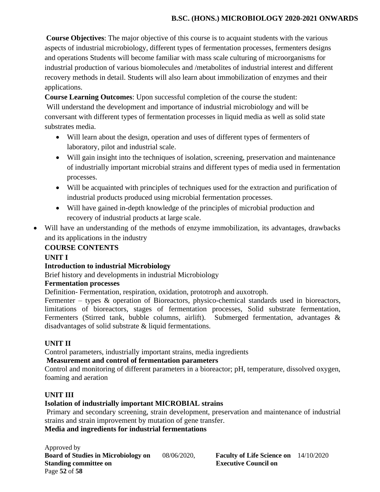**Course Objectives**: The major objective of this course is to acquaint students with the various aspects of industrial microbiology, different types of fermentation processes, fermenters designs and operations Students will become familiar with mass scale culturing of microorganisms for industrial production of various biomolecules and /metabolites of industrial interest and different recovery methods in detail. Students will also learn about immobilization of enzymes and their applications.

**Course Learning Outcomes**: Upon successful completion of the course the student:

Will understand the development and importance of industrial microbiology and will be conversant with different types of fermentation processes in liquid media as well as solid state substrates media.

- Will learn about the design, operation and uses of different types of fermenters of laboratory, pilot and industrial scale.
- Will gain insight into the techniques of isolation, screening, preservation and maintenance of industrially important microbial strains and different types of media used in fermentation processes.
- Will be acquainted with principles of techniques used for the extraction and purification of industrial products produced using microbial fermentation processes.
- Will have gained in-depth knowledge of the principles of microbial production and recovery of industrial products at large scale.
- Will have an understanding of the methods of enzyme immobilization, its advantages, drawbacks and its applications in the industry

#### **COURSE CONTENTS**

#### **UNIT I**

#### **Introduction to industrial Microbiology**

Brief history and developments in industrial Microbiology

#### **Fermentation processes**

Definition- Fermentation, respiration, oxidation, prototroph and auxotroph.

Fermenter – types & operation of Bioreactors, physico-chemical standards used in bioreactors, limitations of bioreactors, stages of fermentation processes, Solid substrate fermentation, Fermenters (Stirred tank, bubble columns, airlift). Submerged fermentation, advantages & disadvantages of solid substrate & liquid fermentations.

#### **UNIT II**

Control parameters, industrially important strains, media ingredients

#### **Measurement and control of fermentation parameters**

Control and monitoring of different parameters in a bioreactor; pH, temperature, dissolved oxygen, foaming and aeration

#### **UNIT III**

#### **Isolation of industrially important MICROBIAL strains**

Primary and secondary screening, strain development, preservation and maintenance of industrial strains and strain improvement by mutation of gene transfer.

#### **Media and ingredients for industrial fermentations**

Approved by **Board of Studies in Microbiology on** 08/06/2020, **Faculty of Life Science on** 14/10/2020 **Standing committee on Executive Council on Algebra** Page **52** of **58**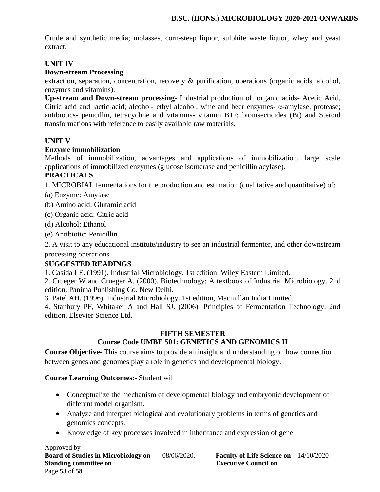Crude and synthetic media; molasses, corn-steep liquor, sulphite waste liquor, whey and yeast extract.

### **UNIT IV**

#### **Down-stream Processing**

extraction, separation, concentration, recovery & purification, operations (organic acids, alcohol, enzymes and vitamins).

**Up-stream and Down-stream processing**- Industrial production of organic acids- Acetic Acid, Citric acid and lactic acid; alcohol- ethyl alcohol, wine and beer enzymes- α-amylase, protease; antibiotics- penicillin, tetracycline and vitamins- vitamin B12; bioinsecticides (Bt) and Steroid transformations with reference to easily available raw materials.

#### **UNIT V**

#### **Enzyme immobilization**

Methods of immobilization, advantages and applications of immobilization, large scale applications of immobilized enzymes (glucose isomerase and penicillin acylase).

# **PRACTICALS**

1. MICROBIAL fermentations for the production and estimation (qualitative and quantitative) of:

- (a) Enzyme: Amylase
- (b) Amino acid: Glutamic acid
- (c) Organic acid: Citric acid
- (d) Alcohol: Ethanol
- (e) Antibiotic: Penicillin

2. A visit to any educational institute/industry to see an industrial fermenter, and other downstream processing operations.

#### **SUGGESTED READINGS**

1. Casida LE. (1991). Industrial Microbiology. 1st edition. Wiley Eastern Limited.

2. Crueger W and Crueger A. (2000). Biotechnology: A textbook of Industrial Microbiology. 2nd edition. Panima Publishing Co. New Delhi.

3. Patel AH. (1996). Industrial Microbiology. 1st edition, Macmillan India Limited.

4. Stanbury PF, Whitaker A and Hall SJ. (2006). Principles of Fermentation Technology. 2nd edition, Elsevier Science Ltd.

#### **FIFTH SEMESTER**

# **Course Code UMBE 501: GENETICS AND GENOMICS II**

**Course Objective**- This course aims to provide an insight and understanding on how connection between genes and genomes play a role in genetics and developmental biology.

#### **Course Learning Outcomes**:- Student will

- Conceptualize the mechanism of developmental biology and embryonic development of different model organism.
- Analyze and interpret biological and evolutionary problems in terms of genetics and genomics concepts.
- Knowledge of key processes involved in inheritance and expression of gene.

Approved by **Board of Studies in Microbiology on** 08/06/2020, **Faculty of Life Science on** 14/10/2020 **Standing committee on Executive Council on Algebra** Page **53** of **58**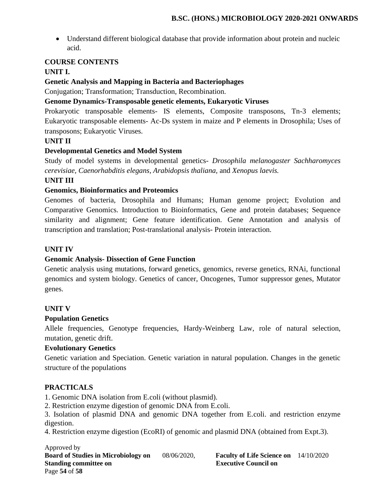• Understand different biological database that provide information about protein and nucleic acid.

## **COURSE CONTENTS**

# **UNIT I.**

# **Genetic Analysis and Mapping in Bacteria and Bacteriophages**

Conjugation; Transformation; Transduction, Recombination.

#### **Genome Dynamics-Transposable genetic elements, Eukaryotic Viruses**

Prokaryotic transposable elements- IS elements, Composite transposons, Tn-3 elements; Eukaryotic transposable elements- Ac-Ds system in maize and P elements in Drosophila; Uses of transposons; Eukaryotic Viruses.

#### **UNIT II**

#### **Developmental Genetics and Model System**

Study of model systems in developmental genetics- *Drosophila melanogaster Sachharomyces cerevisiae, Caenorhabditis elegans, Arabidopsis thaliana,* and *Xenopus laevis.*

#### **UNIT III**

#### **Genomics, Bioinformatics and Proteomics**

Genomes of bacteria, Drosophila and Humans; Human genome project; Evolution and Comparative Genomics. Introduction to Bioinformatics, Gene and protein databases; Sequence similarity and alignment; Gene feature identification. Gene Annotation and analysis of transcription and translation; Post-translational analysis- Protein interaction.

#### **UNIT IV**

#### **Genomic Analysis- Dissection of Gene Function**

Genetic analysis using mutations, forward genetics, genomics, reverse genetics, RNAi, functional genomics and system biology. Genetics of cancer, Oncogenes, Tumor suppressor genes, Mutator genes.

#### **UNIT V**

#### **Population Genetics**

Allele frequencies, Genotype frequencies, Hardy-Weinberg Law, role of natural selection, mutation, genetic drift.

#### **Evolutionary Genetics**

Genetic variation and Speciation. Genetic variation in natural population. Changes in the genetic structure of the populations

#### **PRACTICALS**

1. Genomic DNA isolation from E.coli (without plasmid).

2. Restriction enzyme digestion of genomic DNA from E.coli.

3. Isolation of plasmid DNA and genomic DNA together from E.coli. and restriction enzyme digestion.

4. Restriction enzyme digestion (EcoRI) of genomic and plasmid DNA (obtained from Expt.3).

Approved by **Board of Studies in Microbiology on** 08/06/2020, **Faculty of Life Science on** 14/10/2020 **Standing committee on Executive Council on Algebra 2.5 Algebra 2.5 Algebra 2.5 Algebra 2.6 Algebra 2.6 Algebra 2.6 Algebra 2.6 Algebra 2.6 Algebra 2.6 Algebra 2.6 Algebra 2.6 Algebra 2.6 Algebra 2.6 Algebra 2.6 Algebra 2.** Page **54** of **58**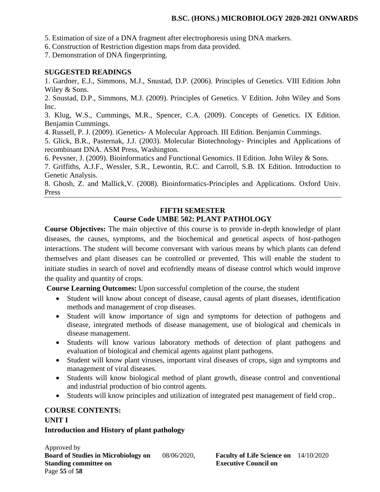5. Estimation of size of a DNA fragment after electrophoresis using DNA markers.

6. Construction of Restriction digestion maps from data provided.

7. Demonstration of DNA fingerprinting.

#### **SUGGESTED READINGS**

1. Gardner, E.J., Simmons, M.J., Snustad, D.P. (2006). Principles of Genetics. VIII Edition John Wiley & Sons.

2. Snustad, D.P., Simmons, M.J. (2009). Principles of Genetics. V Edition. John Wiley and Sons Inc.

3. Klug, W.S., Cummings, M.R., Spencer, C.A. (2009). Concepts of Genetics. IX Edition. Benjamin Cummings.

4. Russell, P. J. (2009). iGenetics- A Molecular Approach. III Edition. Benjamin Cummings.

5. Glick, B.R., Pasternak, J.J. (2003). Molecular Biotechnology- Principles and Applications of recombinant DNA. ASM Press, Washington.

6. Pevsner, J. (2009). Bioinformatics and Functional Genomics. II Edition. John Wiley & Sons.

7. Griffiths, A.J.F., Wessler, S.R., Lewontin, R.C. and Carroll, S.B. IX Edition. Introduction to Genetic Analysis.

8. Ghosh, Z. and Mallick,V. (2008). Bioinformatics-Principles and Applications. Oxford Univ. Press

# **FIFTH SEMESTER Course Code UMBE 502: PLANT PATHOLOGY**

**Course Objectives:** The main objective of this course is to provide in-depth knowledge of plant diseases, the causes, symptoms, and the biochemical and genetical aspects of host-pathogen interactions. The student will become conversant with various means by which plants can defend themselves and plant diseases can be controlled or prevented. This will enable the student to initiate studies in search of novel and ecofriendly means of disease control which would improve the quality and quantity of crops.

**Course Learning Outcomes:** Upon successful completion of the course, the student

- Student will know about concept of disease, causal agents of plant diseases, identification methods and management of crop diseases.
- Student will know importance of sign and symptoms for detection of pathogens and disease, integrated methods of disease management, use of biological and chemicals in disease management.
- Students will know various laboratory methods of detection of plant pathogens and evaluation of biological and chemical agents against plant pathogens.
- Student will know plant viruses, important viral diseases of crops, sign and symptoms and management of viral diseases.
- Students will know biological method of plant growth, disease control and conventional and industrial production of bio control agents.
- Students will know principles and utilization of integrated pest management of field crop..

#### **COURSE CONTENTS:**

#### **UNIT I**

#### **Introduction and History of plant pathology**

Approved by **Board of Studies in Microbiology on** 08/06/2020, **Faculty of Life Science on** 14/10/2020 **Standing committee on Executive Council on Algebra** Page **55** of **58**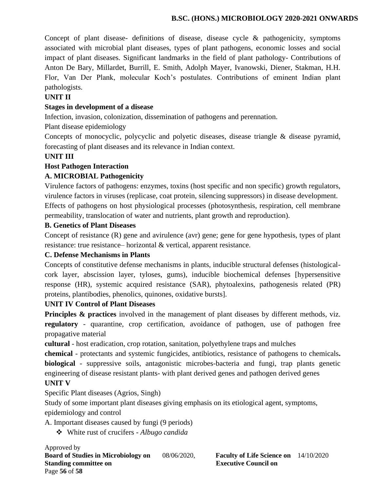Concept of plant disease- definitions of disease, disease cycle & pathogenicity, symptoms associated with microbial plant diseases, types of plant pathogens, economic losses and social impact of plant diseases. Significant landmarks in the field of plant pathology- Contributions of Anton De Bary, Millardet, Burrill, E. Smith, Adolph Mayer, Ivanowski, Diener, Stakman, H.H. Flor, Van Der Plank, molecular Koch's postulates. Contributions of eminent Indian plant pathologists.

# **UNIT II**

### **Stages in development of a disease**

Infection, invasion, colonization, dissemination of pathogens and perennation.

Plant disease epidemiology

Concepts of monocyclic, polycyclic and polyetic diseases, disease triangle & disease pyramid, forecasting of plant diseases and its relevance in Indian context.

# **UNIT III**

# **Host Pathogen Interaction**

# **A. MICROBIAL Pathogenicity**

Virulence factors of pathogens: enzymes, toxins (host specific and non specific) growth regulators, virulence factors in viruses (replicase, coat protein, silencing suppressors) in disease development. Effects of pathogens on host physiological processes (photosynthesis, respiration, cell membrane permeability, translocation of water and nutrients, plant growth and reproduction).

#### **B. Genetics of Plant Diseases**

Concept of resistance (R) gene and avirulence (avr) gene; gene for gene hypothesis, types of plant resistance: true resistance– horizontal & vertical, apparent resistance.

#### **C. Defense Mechanisms in Plants**

Concepts of constitutive defense mechanisms in plants, inducible structural defenses (histologicalcork layer, abscission layer, tyloses, gums), inducible biochemical defenses [hypersensitive response (HR), systemic acquired resistance (SAR), phytoalexins, pathogenesis related (PR) proteins, plantibodies, phenolics, quinones, oxidative bursts].

#### **UNIT IV Control of Plant Diseases**

**Principles & practices** involved in the management of plant diseases by different methods, viz. **regulatory** - quarantine, crop certification, avoidance of pathogen, use of pathogen free propagative material

**cultural** - host eradication, crop rotation, sanitation, polyethylene traps and mulches

**chemical** - protectants and systemic fungicides, antibiotics, resistance of pathogens to chemicals**. biological** - suppressive soils, antagonistic microbes-bacteria and fungi, trap plants genetic engineering of disease resistant plants- with plant derived genes and pathogen derived genes

# **UNIT V**

Specific Plant diseases (Agrios, Singh)

Study of some important plant diseases giving emphasis on its etiological agent, symptoms, epidemiology and control

A. Important diseases caused by fungi (9 periods)

❖ White rust of crucifers - *Albugo candida*

Approved by **Board of Studies in Microbiology on** 08/06/2020, **Faculty of Life Science on** 14/10/2020 **Standing committee on Executive Council on Algebra 2.5 Algebra 2.5 Algebra 2.5 Algebra 2.6 Algebra 2.6 Algebra 2.6 Algebra 2.6 Algebra 2.6 Algebra 2.6 Algebra 2.6 Algebra 2.6 Algebra 2.6 Algebra 2.6 Algebra 2.6 Algebra 2.** Page **56** of **58**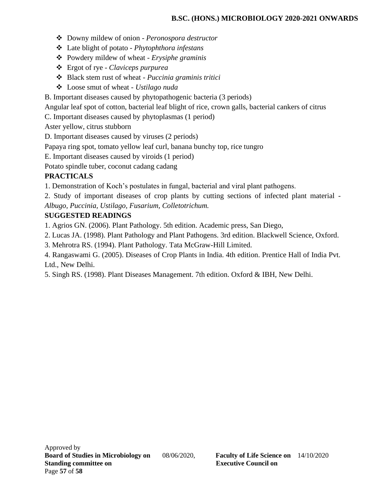- ❖ Downy mildew of onion *Peronospora destructor*
- ❖ Late blight of potato *Phytophthora infestans*
- ❖ Powdery mildew of wheat *Erysiphe graminis*
- ❖ Ergot of rye *Claviceps purpurea*
- ❖ Black stem rust of wheat *Puccinia graminis tritici*
- ❖ Loose smut of wheat *Ustilago nuda*
- B. Important diseases caused by phytopathogenic bacteria (3 periods)

Angular leaf spot of cotton, bacterial leaf blight of rice, crown galls, bacterial cankers of citrus

C. Important diseases caused by phytoplasmas (1 period)

Aster yellow, citrus stubborn

D. Important diseases caused by viruses (2 periods)

Papaya ring spot, tomato yellow leaf curl, banana bunchy top, rice tungro

E. Important diseases caused by viroids (1 period)

Potato spindle tuber, coconut cadang cadang

# **PRACTICALS**

1. Demonstration of Koch's postulates in fungal, bacterial and viral plant pathogens.

2. Study of important diseases of crop plants by cutting sections of infected plant material - *Albugo, Puccinia, Ustilago, Fusarium, Colletotrichum.*

# **SUGGESTED READINGS**

1. Agrios GN. (2006). Plant Pathology. 5th edition. Academic press, San Diego,

2. Lucas JA. (1998). Plant Pathology and Plant Pathogens. 3rd edition. Blackwell Science, Oxford.

3. Mehrotra RS. (1994). Plant Pathology. Tata McGraw-Hill Limited.

4. Rangaswami G. (2005). Diseases of Crop Plants in India. 4th edition. Prentice Hall of India Pvt. Ltd., New Delhi.

5. Singh RS. (1998). Plant Diseases Management. 7th edition. Oxford & IBH, New Delhi.